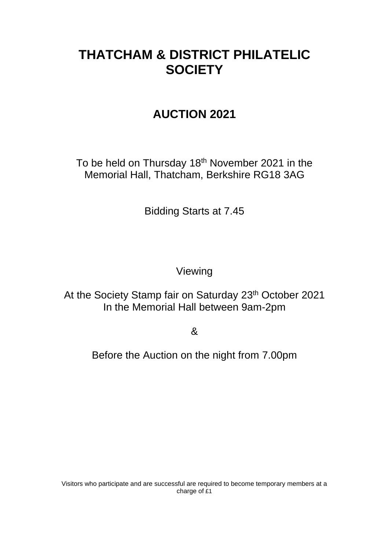# **THATCHAM & DISTRICT PHILATELIC SOCIETY**

# **AUCTION 2021**

To be held on Thursday 18<sup>th</sup> November 2021 in the Memorial Hall, Thatcham, Berkshire RG18 3AG

Bidding Starts at 7.45

Viewing

At the Society Stamp fair on Saturday 23<sup>th</sup> October 2021 In the Memorial Hall between 9am-2pm

&

Before the Auction on the night from 7.00pm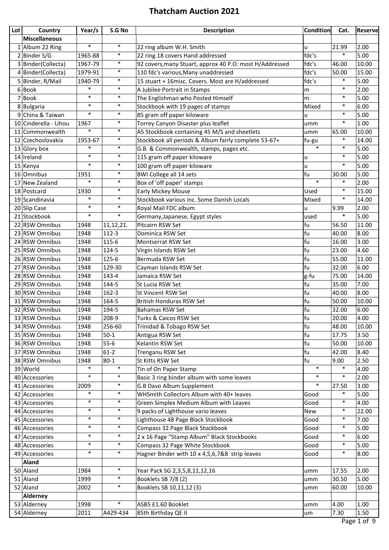| Lot | Country              | Year/s  | S.G No    | <b>Description</b>                                      | <b>Condition</b> | Cat.   | <b>Reserve</b> |
|-----|----------------------|---------|-----------|---------------------------------------------------------|------------------|--------|----------------|
|     | <b>Miscellaneous</b> |         |           |                                                         |                  |        |                |
|     | 1 Album 22 Ring      | $\ast$  | $\ast$    | 22 ring album W.H. Smith                                | u                | 21.99  | 2.00           |
|     | 2 Binder S/G         | 1965-88 | $\ast$    | 22 ring.18 covers Hand addressed                        | fdc's            | $\ast$ | 5.00           |
|     | 3 Binder(Collecta)   | 1967-79 | $\ast$    | 92 covers, many Stuart, approx 40 P.O. most H/Addressed | fdc's            | 46.00  | 10.00          |
|     | 4 Binder (Collecta)  | 1979-91 | $\ast$    | 110 fdc's various, Many unaddressed                     | fdc's            | 50.00  | 15.00          |
|     | 5 Binder, R/Mail     | 1940-79 | $\ast$    | 15 stuart + 16misc. Covers. Most are H/addressed        | fdc's            | $\ast$ | 5.00           |
|     | 6Book                | $\ast$  | $\ast$    | A Jubilee Portrait in Stamps                            | m                | $\ast$ | 2.00           |
| 7   | Book                 | $\ast$  | $\ast$    | The Englishman who Posted Himself                       | m                | $\ast$ | 5.00           |
|     | 8Bulgaria            | $\ast$  | $\ast$    | Stockbook with 19 pages of stamps                       | Mixed            | $\ast$ | 6.00           |
|     | 9 China & Taiwan     | $\ast$  | $\ast$    | 85 gram off paper kiloware                              | u                | $\ast$ | 5.00           |
| 10  | Cinderella - Lihou   | 1967    | $\ast$    | Torrey Canyon Disaster plus leaflet                     | umm              | $\ast$ | 1.00           |
| 11  | Commonwealth         | $\ast$  | $\ast$    | A5 Stockbook containing 45 M/S and sheetlets            | umm              | 65.00  | 10.00          |
|     | 12 Czechoslovakia    | 1953-67 | $\ast$    | Stockbook all periods & Album fairly complete 53-67+    | fu-gu            | $\ast$ | 14.00          |
|     | $13$ Glory box       | $\ast$  | $\ast$    | G.B. & Commonwealth, stamps, pages etc.                 | $\ast$           | $\ast$ | 5.00           |
|     | $14$  Ireland        | $\ast$  | $\ast$    | 115 gram off paper kiloware                             | u                | $\ast$ | 5.00           |
|     | 15 Kenya             | $\ast$  | $\ast$    | 100 gram off paper kiloware                             | u                | $\ast$ | 5.00           |
|     | 16 Omnibus           | 1951    | $\ast$    | <b>BWI College all 14 sets</b>                          | fu               | 30.00  | 5.00           |
| 17  | New Zealand          | $\ast$  | $\ast$    | Box of 'off paper' stamps                               | $\ast$           | $\ast$ | 2.00           |
|     | 18 Postcard          | 1930    | $\ast$    | Early Mickey Mouse                                      | Used             | $\ast$ | 15.00          |
|     | 19 Scandinavia       | $\ast$  | $\ast$    | Stockbook various inc. Some Danish Locals               | Mixed            | $\ast$ | 14.00          |
|     | 20 Slip Case         | $\ast$  | $\ast$    | Royal Mail FDC album                                    | u                | 9.99   | 2.00           |
|     | 21 Stockbook         | $\ast$  | $\ast$    | Germany, Japanese, Egypt styles                         | used             | $\ast$ | 5.00           |
| 22  | <b>RSW Omnibus</b>   | 1948    | 11,12,21. | Pitcairn RSW Set                                        | fu               | 56.50  | 11.00          |
|     | 23 RSW Omnibus       | 1948    | $112 - 3$ | Dominica RSW Set                                        | fu               | 40.00  | 8.00           |
|     | 24 RSW Omnibus       | 1948    | 115-6     | Montserrat RSW Set                                      | fu               | 16.00  | 3.00           |
|     | 25 RSW Omnibus       | 1948    | 124-5     | Virgin Islands RSW Set                                  | fu               | 23.00  | 4.60           |
|     | 26 RSW Omnibus       | 1948    | 125-6     | Bermuda RSW Set                                         | fu               | 55.00  | 11.00          |
|     | 27 RSW Omnibus       | 1948    | 129-30    | Cayman Islands RSW Set                                  | fu               | 32.00  | 6.00           |
|     | 28 RSW Omnibus       | 1948    | 143-4     | Jamaica RSW Set                                         | g-fu             | 75.00  | 14.00          |
|     | 29 RSW Omnibus       | 1948    | 144-5     | St Lucia RSW Set                                        | fu               | 35.00  | 7.00           |
|     | 30 RSW Omnibus       | 1948    | $162 - 3$ | St Vincent RSW Set                                      | fu               | 40.00  | 8.00           |
|     | 31 RSW Omnibus       | 1948    | 164-5     | <b>British Honduras RSW Set</b>                         | fu               | 50.00  | 10.00          |
|     | 32 RSW Omnibus       | 1948    | 194-5     | <b>Bahamas RSW Set</b>                                  | fu               | 32.00  | 6.00           |
|     | 33 RSW Omnibus       | 1948    | 208-9     | Turks & Caicos RSW Set                                  | fu               | 20.00  | 4.00           |
|     | 34 RSW Omnibus       | 1948    | 256-60    | Trinidad & Tobago RSW Set                               | fu               | 48.00  | 10.00          |
|     | 35 RSW Omnibus       | 1948    | $50-1$    | Antigua RSW Set                                         | fu               | 17.75  | 3.50           |
|     | 36 RSW Omnibus       | 1948    | $55 - 6$  | Kelantin RSW Set                                        | fu               | 50.00  | 10.00          |
|     | 37 RSW Omnibus       | 1948    | $61-2$    | Trenganu RSW Set                                        | fu               | 42.00  | 8.40           |
|     | 38 RSW Omnibus       | 1948    | $80 - 1$  | St Kitts RSW Set                                        | fu               | 9.00   | 2.50           |
|     | 39 World             | $\ast$  | $\ast$    | Tin of On Paper Stamp                                   | $\ast$           | $\ast$ | 4.00           |
|     | 40 Accessories       | $\ast$  | $\ast$    | Basic 3 ring binder album with some leaves              | $\ast$           | $\ast$ | 2.00           |
|     | 41 Accessories       | 2009    | $\ast$    | G.B Davo Album Supplement                               | $\ast$           | 27.50  | 3.00           |
|     | 42 Accessories       | $\ast$  | $\ast$    | WHSmith Collectors Album with 40+ leaves                | Good             | $\ast$ | 5.00           |
|     | 43 Accessories       | $\ast$  | $\ast$    | Green Simplex Medium Album with Leaves                  | Good             | $\ast$ | 4.00           |
|     | 44 Accessories       | $\ast$  | $\ast$    | 9 packs of Lighthouse vario leaves                      | New              | $\ast$ | 22.00          |
|     | 45 Accessories       | $\ast$  | $\ast$    | Lighthouse 48 Page Black Stockbook                      | Good             | $\ast$ | 7.00           |
|     | 46 Accessories       | $\ast$  | $\ast$    | Compass 32 Page Black Stockbook                         | Good             | $\ast$ | 5.00           |
|     | 47 Accessories       | $\ast$  | $\ast$    | 2 x 16 Page "Stamp Album" Black Stockbooks              | Good             | $\ast$ | 6.00           |
|     | 48 Accessories       | $\ast$  | $\ast$    | Compass 32 Page White Stockbook                         | Good             | $\ast$ | 5.00           |
|     | 49 Accessories       | $\ast$  | $\ast$    | Hagner Binder with 10 x 4,5,6,7&8 strip leaves          | Good             | $\ast$ | 8.00           |
|     | Aland                |         |           |                                                         |                  |        |                |
|     | 50 Aland             | 1984    | $\ast$    | Year Pack SG 2,3,5,8,11,12,16                           | umm              | 17.55  | 2.00           |
|     | 51 Aland             | 1999    | $\ast$    | Booklets SB 7/8 (2)                                     | umm              | 30.50  | 5.00           |
|     | 52 Aland             | 2002    | $\ast$    | Booklets SB 10,11,12 (3)                                | umm              | 60.00  | 10.00          |
|     | <b>Alderney</b>      |         |           |                                                         |                  |        |                |
|     | 53 Alderney          | 1998    | $\ast$    | ASB5 £1.60 Booklet                                      | umm              | 4.00   | 1.00           |
|     | 54 Alderney          | 2011    | A429-434  | 85th Birthday QE II                                     | um               | 7.30   | 1.50           |
|     |                      |         |           |                                                         |                  |        |                |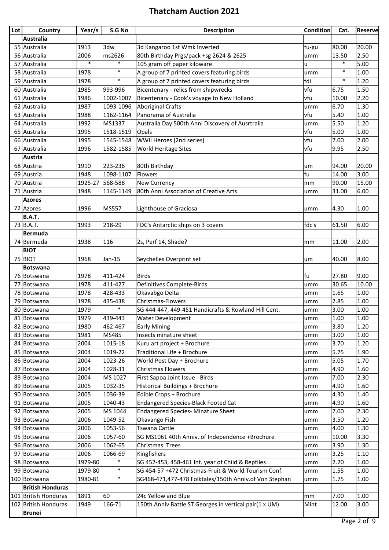| Lot | Country                 | Year/s  | S.G No    | <b>Description</b>                                     | <b>Condition</b> | Cat.   | <b>Reserve</b> |
|-----|-------------------------|---------|-----------|--------------------------------------------------------|------------------|--------|----------------|
|     | Australia               |         |           |                                                        |                  |        |                |
|     | 55 Australia            | 1913    | 3dw       | 3d Kangaroo 1st Wmk Inverted                           | fu-gu            | 80.00  | 20.00          |
|     | 56 Australia            | 2006    | ms2626    | 80th Birthday Prgs/pack +sg 2624 & 2625                | umm              | 13.50  | 2.50           |
|     | 57 Australia            | $\ast$  | $\ast$    | 105 gram off paper kiloware                            | u                | $\ast$ | 5.00           |
|     | 58 Australia            | 1978    | $\ast$    | A group of 7 printed covers featuring birds            | umm              | $\ast$ | 1.00           |
|     | 59 Australia            | 1978    | $\ast$    | A group of 7 printed covers featuring birds            | fdi              | $\ast$ | 1.20           |
|     | 60 Australia            | 1985    | 993-996   | Bicentenary - relics from shipwrecks                   | vfu              | 6.75   | 1.50           |
|     | 61 Australia            | 1986    | 1002-1007 | Bicentenary - Cook's voyage to New Holland             | vfu              | 10.00  | 2.20           |
|     | 62 Australia            | 1987    | 1093-1096 | Aboriginal Crafts                                      | umm              | 6.70   | 1.30           |
|     | 63 Australia            | 1988    | 1162-1164 | Panorama of Australia                                  | vfu              | 5.40   | 1.00           |
|     | 64 Australia            | 1992    | MS1337    | Australia Day 500th Anni Discovery of Ausrtralia       | umm              | 5.50   | 1.20           |
|     | 65 Australia            | 1995    | 1518-1519 | Opals                                                  | vfu              | 5.00   | 1.00           |
|     | 66 Australia            | 1995    | 1545-1548 | WWII Heroes [2nd series]                               | vfu              | 7.00   | 2.00           |
|     | 67 Australia            | 1996    | 1582-1585 | World Heritage Sites                                   | vfu              | 9.95   | 2.50           |
|     | Austria                 |         |           |                                                        |                  |        |                |
|     | 68 Austria              | 1910    | 223-236   | 80th Birthday                                          | um               | 94.00  | 20.00          |
|     | 69 Austria              | 1948    | 1098-1107 | Flowers                                                | fu               | 14.00  | 3.00           |
|     | 70 Austria              | 1925-27 | 568-588   | <b>New Currency</b>                                    | mm               | 90.00  | 15.00          |
|     | 71 Austria              | 1948    | 1145-1149 | 80th Anni Association of Creative Arts                 | umm              | 31.00  | 6.00           |
|     | <b>Azores</b>           |         |           |                                                        |                  |        |                |
|     | 72 Azores               | 1996    | MS557     | Lighthouse of Graciosa                                 | umm              | 4.30   | 1.00           |
|     | <b>B.A.T.</b>           |         |           |                                                        |                  |        |                |
|     | $73$ B.A.T.             | 1993    | 218-29    | FDC's Antarctic ships on 3 covers                      | fdc's            | 61.50  | 6.00           |
|     | <b>Bermuda</b>          |         |           |                                                        |                  |        |                |
|     | 74 Bermuda              | 1938    | 116       | 2s, Perf 14, Shade?                                    | mm               | 11.00  | 2.00           |
|     | <b>BIOT</b>             |         |           |                                                        |                  |        |                |
|     | 75 BIOT                 | 1968    | Jan-15    | Seychelles Overprint set                               | um               | 40.00  | 8.00           |
|     | <b>Botswana</b>         |         |           |                                                        |                  |        |                |
|     | 76 Botswana             | 1978    | 411-424   | Birds                                                  | fu               | 27.80  | 9.00           |
|     | 77 Botswana             | 1978    | 411-427   | Definitives Complete-Birds                             | umm              | 30.65  | 10.00          |
|     | 78 Botswana             | 1978    | 428-433   | Okavabgo Delta                                         | umm              | 1.65   | $1.00\,$       |
|     | 79 Botswana             | 1978    | 435-438   | Christmas-Flowers                                      | umm              | 2.85   | 1.00           |
|     | 80 Botswana             | 1979    | $\ast$    | SG 444-447, 449-451 Handicrafts & Rowland Hill Cent.   | umm              | 3.00   | 1.00           |
|     | 81 Botswana             | 1979    | 439-443   | <b>Water Development</b>                               | umm              | 1.00   | 1.00           |
|     | 82 Botswana             | 1980    | 462-467   | <b>Early Mining</b>                                    | umm              | 3.80   | 1.20           |
|     | 83 Botswana             | 1981    | MS485     | Insects minature sheet                                 | umm              | 3.00   | 1.00           |
|     | 84 Botswana             | 2004    | 1015-18   | Kuru art project + Brochure                            | umm              | 3.70   | 1.20           |
|     | 85 Botswana             | 2004    | 1019-22   | Traditional Life + Brochure                            | umm              | 5.75   | 1.90           |
|     | 86 Botswana             | 2004    | 1023-26   | World Post Day + Brochure                              | umm              | 5.05   | 1.70           |
|     | 87 Botswana             | 2004    | 1028-31   | <b>Christmas Flowers</b>                               | umm              | 4.90   | 1.60           |
|     | 88 Botswana             | 2004    | MS 1027   | First Sapoa Joint Issue - Birds                        | umm              | 7.00   | 2.30           |
|     | 89 Botswana             | 2005    | 1032-35   | <b>Historical Buildings + Brochure</b>                 | umm              | 4.90   | 1.60           |
|     | 90 Botswana             | 2005    | 1036-39   | Edible Crops + Brochure                                | umm              | 4.30   | 1.40           |
|     | 91 Botswana             | 2005    | 1040-43   | <b>Endangered Species-Black Footed Cat</b>             | umm              | 4.90   | 1.60           |
|     | 92 Botswana             | 2005    | MS 1044   | <b>Endangered Species- Minature Sheet</b>              | umm              | 7.00   | 2.30           |
|     | 93 Botswana             | 2006    | 1049-52   | Okavango Fish                                          | umm              | 3.50   | 1.20           |
|     | 94 Botswana             | 2006    | 1053-56   | <b>Tswana Cattle</b>                                   | umm              | 4.00   | 1.30           |
|     | 95 Botswana             | 2006    | 1057-60   | SG MS1061 40th Anniv. of Independence +Brochure        | umm              | 10.00  | 3.30           |
|     | 96 Botswana             | 2006    | 1062-65   | Christmas Trees                                        | umm              | 3.90   | 1.30           |
|     | 97 Botswana             | 2006    | 1066-69   | Kingfishers                                            | umm              | 3.25   | 1.10           |
|     | 98 Botswana             | 1979-80 | $\ast$    | SG 452-453, 458-461 Int. year of Child & Reptiles      | umm              | 2.20   | 1.00           |
|     | 99 Botswana             | 1979-80 | $\ast$    | SG 454-57 +472 Christmas-Fruit & World Tourism Conf.   | umm              | 1.55   | 1.00           |
|     | 100 Botswana            | 1980-81 | $\ast$    | SG468-471,477-478 Folktales/150th Anniv.of Von Stephan | umm              | 1.75   | 1.00           |
|     | <b>British Honduras</b> |         |           |                                                        |                  |        |                |
|     | 101 British Honduras    | 1891    | 60        | 24c Yellow and Blue                                    | mm               | 7.00   | 1.00           |
|     | 102 British Honduras    | 1949    | 166-71    | 150th Anniv Battle ST Georges in vertical pair(1 x UM) | Mint             | 12.00  | 3.00           |
|     | <b>Brunei</b>           |         |           |                                                        |                  |        |                |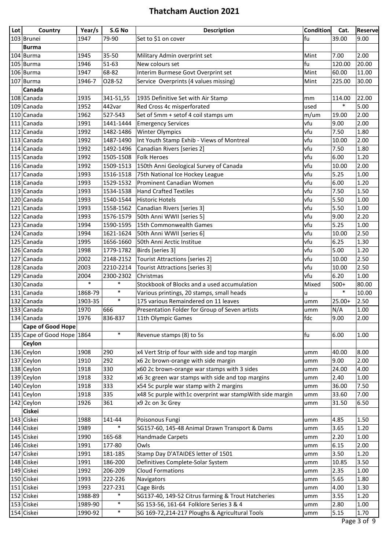| <b>Lot</b> | Country                    | Year/s  | S.G No    | <b>Description</b>                                       | <b>Condition</b> | Cat.     | <b>Reserve</b> |
|------------|----------------------------|---------|-----------|----------------------------------------------------------|------------------|----------|----------------|
|            | 103 Brunei                 | 1947    | 79-90     | Set to \$1 on cover                                      | fu               | 39.00    | 9.00           |
|            | Burma                      |         |           |                                                          |                  |          |                |
|            | $104$ Burma                | 1945    | 35-50     | Military Admin overprint set                             | Mint             | 7.00     | 2.00           |
|            | 105 Burma                  | 1946    | 51-63     | New colours set                                          | fu               | 120.00   | 20.00          |
|            | 106 Burma                  | 1947    | 68-82     | Interim Burmese Govt Overprint set                       | Mint             | 60.00    | 11.00          |
|            | $107$ Burma                | 1946-7  | 028-52    | Service Overprints (4 values missing)                    | Mint             | 225.00   | 30.00          |
|            | Canada                     |         |           |                                                          |                  |          |                |
|            | 108 Canada                 | 1935    | 341-51,55 | 1935 Definitive Set with Air Stamp                       | mm               | 114.00   | 22.00          |
|            | 109 Canada                 | 1952    | 442var    | Red Cross 4c misperforated                               | used             | $\ast$   | 5.00           |
|            | 110 Canada                 | 1962    | 527-543   | Set of 5mm + setof 4 coil stamps um                      |                  |          | 2.00           |
|            |                            |         |           |                                                          | m/um             | 19.00    |                |
|            | 111 Canada                 | 1991    | 1441-1444 | <b>Emergency Services</b>                                | vfu              | 9.00     | 2.00           |
|            | 112 Canada                 | 1992    | 1482-1486 | <b>Winter Olympics</b>                                   | vfu              | 7.50     | 1.80           |
|            | 113 Canada                 | 1992    | 1487-1490 | Int Youth Stamp Exhib - Views of Montreal                | vfu              | 10.00    | 2.00           |
|            | 114 Canada                 | 1992    | 1492-1496 | Canadian Rivers [series 2]                               | vfu              | 7.50     | 1.80           |
|            | 115 Canada                 | 1992    | 1505-1508 | <b>Folk Heroes</b>                                       | vfu              | 6.00     | 1.20           |
|            | 116 Canada                 | 1992    | 1509-1513 | 150th Anni Geological Survey of Canada                   | vfu              | 10.00    | 2.00           |
|            | 117 Canada                 | 1993    | 1516-1518 | 75th National Ice Hockey League                          | vfu              | 5.25     | 1.00           |
|            | 118 Canada                 | 1993    | 1529-1532 | Prominent Canadian Women                                 | vfu              | 6.00     | 1.20           |
|            | 119 Canada                 | 1993    | 1534-1538 | <b>Hand Crafted Textiles</b>                             | vfu              | 7.50     | 1.50           |
|            | 120 Canada                 | 1993    | 1540-1544 | <b>Historic Hotels</b>                                   | vfu              | 5.50     | 1.00           |
|            | 121 Canada                 | 1993    | 1558-1562 | Canadian Rivers [series 3]                               | vfu              | 5.50     | 1.00           |
|            | 122 Canada                 | 1993    | 1576-1579 | 50th Anni WWII [series 5]                                | vfu              | 9.00     | 2.20           |
|            | 123 Canada                 | 1994    | 1590-1595 | 15th Commonwealth Games                                  | vfu              | 5.25     | 1.00           |
|            | 124 Canada                 | 1994    | 1621-1624 | 50th Anni WWII [series 6]                                | vfu              | 10.00    | 2.50           |
|            | 125 Canada                 | 1995    | 1656-1660 | 50th Anni Arctic Institue                                | vfu              | 6.25     | 1.30           |
|            | 126 Canada                 | 1998    | 1779-1782 | Birds [series 3]                                         | vfu              | 5.00     | 1.20           |
|            | 127 Canada                 | 2002    | 2148-2152 | <b>Tourist Attractions [series 2]</b>                    | vfu              | 10.00    | 2.50           |
|            | 128 Canada                 | 2003    | 2210-2214 | <b>Tourist Attractions [series 3]</b>                    | vfu              | 10.00    | 2.50           |
|            | 129 Canada                 | 2004    | 2300-2302 | Christmas                                                | vfu              | 6.20     | 1.00           |
|            | 130 Canada                 | $\ast$  | $\ast$    | Stockbook of Blocks and a used accumulation              | Mixed            | $500+$   | 80.00          |
|            | 131 Canada                 | 1868-79 | $\ast$    | Various printings, 20 stamps, small heads                | u                | $\ast$   | 10.00          |
|            | 132 Canada                 | 1903-35 | $\ast$    | 175 various Remaindered on 11 leaves                     | umm              | $25.00+$ | 2.50           |
|            | 133 Canada                 | 1970    | 666       | Presentation Folder for Group of Seven artists           | umm              | N/A      | 1.00           |
|            | 134 Canada                 | 1976    | 836-837   | 11th Olympic Games                                       | fdc              | 9.00     | 2.00           |
|            | <b>Cape of Good Hope</b>   |         |           |                                                          |                  |          |                |
|            | 135 Cape of Good Hope 1864 |         | $\ast$    | Revenue stamps (8) to 5s                                 | fu               | 6.00     | 1.00           |
|            | Ceylon                     |         |           |                                                          |                  |          |                |
|            | 136 Ceylon                 | 1908    | 290       | x4 Vert Strip of four with side and top margin           | umm              | 40.00    | 8.00           |
|            | 137 Ceylon                 | 1910    | 292       | x6 2c brown-orange with side margin                      | umm              | 9.00     | 2.00           |
|            | 138 Ceylon                 | 1918    | 330       | x60 2c brown-orange war stamps with 3 sides              | umm              | 24.00    | 4.00           |
|            | $139$ Ceylon               | 1918    | 332       | x6 3c green war stamps with side and top margins         | umm              | 2.40     | 1.00           |
|            | 140 Ceylon                 | 1918    | 333       | x54 5c purple war stamp with 2 margins                   | umm              | 36.00    | 7.50           |
|            | $141$ Ceylon               | 1918    | 335       | x48 5c purple with1c overprint war stampWith side margin | umm              | 33.60    | 7.00           |
|            | $142$ Ceylon               | 1926    | 361       | x9 2c on 3c Grey                                         | umm              | 31.50    | 6.50           |
|            | <b>Ciskei</b>              |         |           |                                                          |                  |          |                |
|            | 143 Ciskei                 | 1988    | 141-44    | Poisonous Fungi                                          | umm              | 4.85     | 1.50           |
|            | 144 Ciskei                 | 1989    | $\ast$    | SG157-60, 145-48 Animal Drawn Transport & Dams           | umm              | 3.65     | 1.20           |
|            | 145 Ciskei                 | 1990    | 165-68    | Handmade Carpets                                         | umm              | 2.20     | 1.00           |
|            | 146 Ciskei                 | 1991    | 177-80    | Owls                                                     | umm              | 6.15     | 2.00           |
|            | 147 Ciskei                 | 1991    | 181-185   | Stamp Day D'ATAIDES letter of 1501                       | umm              | 3.50     | 1.20           |
|            | 148 Ciskei                 | 1991    | 186-200   | Definitives Complete-Solar System                        | umm              | 10.85    | 3.50           |
|            | 149 Ciskei                 | 1992    | 206-209   | <b>Cloud Formations</b>                                  | umm              | 2.35     | 1.00           |
|            | 150 Ciskei                 | 1993    | 222-226   | Navigators                                               | umm              | 5.65     | 1.80           |
|            | 151 Ciskei                 | 1993    | 227-231   | Cage Birds                                               | umm              | 4.00     | 1.30           |
|            | 152 Ciskei                 | 1988-89 | $\ast$    | SG137-40, 149-52 Citrus farming & Trout Hatcheries       | umm              | 3.55     | 1.20           |
|            | 153 Ciskei                 | 1989-90 | $\ast$    | SG 153-56, 161-64 Folklore Series 3 & 4                  | umm              | 2.80     | 1.00           |
|            | 154 Ciskei                 | 1990-92 | $\ast$    | SG 169-72,214-217 Ploughs & Agricultural Tools           | umm              | 5.15     | 1.70           |
|            |                            |         |           |                                                          |                  |          |                |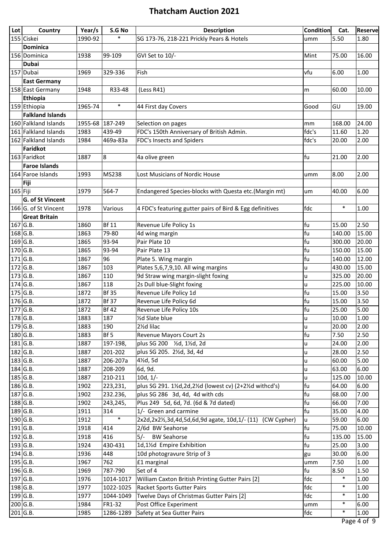| $\ast$<br>155 Ciskei<br>5.50<br>1990-92<br>SG 173-76, 218-221 Prickly Pears & Hotels<br>1.80<br>umm<br><b>Dominica</b><br>1938<br>99-109<br>GVI Set to 10/-<br>75.00<br>16.00<br>156 Dominica<br>Mint<br><b>Dubai</b><br>157 Dubai<br>6.00<br>1.00<br>1969<br>329-336<br>Fish<br>vfu<br><b>East Germany</b><br>1948<br>158 East Germany<br>R33-48<br>(Less R41)<br>60.00<br>10.00<br>m<br>Ethiopia<br>$\ast$<br>159 Ethiopia<br>1965-74<br>19.00<br>44 First day Covers<br>Good<br>GU<br><b>Falkland Islands</b><br>160 Falkland Islands<br>24.00<br>1955-68<br>187-249<br>Selection on pages<br>168.00<br>mm<br>FDC's 150th Anniversary of British Admin.<br>161 Falkland Islands<br>1983<br>439-49<br>fdc's<br>11.60<br>1.20<br>162 Falkland Islands<br>FDC's Insects and Spiders<br>fdc's<br>2.00<br>1984<br>469a-83a<br>20.00<br>Faridkot<br>163 Faridkot<br>fu<br>2.00<br>1887<br>8<br>21.00<br>4a olive green<br><b>Faroe Islands</b><br>164 Faroe Islands<br>MS238<br>Lost Musicians of Nordic House<br>8.00<br>2.00<br>1993<br>umm<br>Fiji<br>$165$ Fiji<br>6.00<br>1979<br>564-7<br>Endangered Species-blocks with Questa etc. (Margin mt)<br>40.00<br>um<br><b>G. of St Vincent</b><br>$\ast$<br>166 G. of St Vincent<br>fdc<br>1.00<br>1978<br>4 FDC's featuring gutter pairs of Bird & Egg definitives<br>Various<br><b>Great Britain</b><br><b>Bf 11</b><br>fu<br>2.50<br>$167$ G.B.<br>1860<br>Revenue Life Policy 1s<br>15.00<br>$168$ G.B.<br>fu<br>15.00<br>1863<br>79-80<br>140.00<br>4d wing margin<br>$169$ G.B.<br>fu<br>1865<br>93-94<br>Pair Plate 10<br>20.00<br>300.00<br>$170$ G.B.<br>15.00<br>1865<br>93-94<br>Pair Plate 13<br>fu<br>150.00<br>$171$ G.B.<br>fu<br>12.00<br>1867<br>96<br>Plate 5. Wing margin<br>140.00<br>$172$ G.B.<br>Plates 5,6,7,9,10. All wing margins<br>15.00<br>1867<br>103<br>430.00<br>u<br>$173$ G.B.<br>1867<br>110<br>9d Straw wing margin-slight foxing<br>325.00<br>20.00<br>u<br>$174$ G.B.<br>1867<br>118<br>2s Dull blue-Slight foxing<br>225.00<br>10.00<br>u<br>$175$ G.B.<br><b>Bf 35</b><br>fu<br>1872<br>Revenue Life Policy 1d<br>3.50<br>15.00<br>176 G.B.<br><b>Bf 37</b><br>fu<br>1872<br>Revenue Life Policy 6d<br>15.00<br>3.50<br>$177$ G.B.<br>5.00<br>1872<br><b>Bf 42</b><br>Revenue Life Policy 10s<br>fu<br>25.00<br>$178$ G.B.<br>1883<br>1/2d Slate blue<br>$1.00\,$<br>187<br>10.00<br>u<br>2.00<br>$179$ G.B.<br>2½d lilac<br>1883<br>190<br>20.00<br>u<br>fu<br>$180$ G.B.<br>1883<br>Bf 5<br>Revenue Mayors Court 2s<br>7.50<br>2.50<br>$181$ G.B.<br>plus SG 200 1/2d, 11/2d, 2d<br>1887<br>2.00<br>197-198,<br>24.00<br>u<br>$182$ G.B.<br>plus SG 205. 21/2d, 3d, 4d<br>1887<br>201-202<br>2.50<br>28.00<br>u<br>$183$ G.B.<br>4½d, 5d<br>5.00<br>1887<br>206-207a<br>60.00<br>u<br>6.00<br>184 G.B.<br>1887<br>208-209<br>63.00<br>6d, 9d.<br>u<br>$185$ G.B.<br>1887<br>210-211<br>10d, 1/-<br>125.00<br>10.00<br>u<br>$186$ G.B.<br>plus SG 291. 11/2d, 2d, 21/2d (lowest cv) (2+21/2d withcd's)<br>fu<br>1902<br>6.00<br>223,231,<br>64.00<br>187 G.B.<br>1902<br>plus SG 286 3d, 4d, 4d with cds<br>fu<br>68.00<br>7.00<br>232.236,<br>$188$ G.B.<br>fu<br>Plus 249 5d, 6d, 7d. (6d & 7d dated)<br>7.00<br>1902<br>243,245,<br>66.00<br>1/- Green and carmine<br>fu<br>189 G.B.<br>1911<br>314<br>35.00<br>4.00<br>$\ast$<br>2x2d,2x21/2,3d,4d,5d,6d,9d agate, 10d,1/- (11) (CW Cypher)<br>$190$ G.B.<br>1912<br>59.00<br>6.00<br>u<br>fu<br>$191$ G.B.<br>2/6d BW Seahorse<br>10.00<br>1918<br>414<br>75.00<br>$192$ G.B.<br>1918<br>416<br>$5/-$<br><b>BW Seahorse</b><br>fu<br>15.00<br>135.00<br>1d,1½d Empire Exhibition<br>$193$ G.B.<br>fu<br>1924<br>430-431<br>25.00<br>3.00<br>194 G.B.<br>10d photogravure Strip of 3<br>6.00<br>1936<br>448<br>30.00<br>gu<br>195 G.B.<br>1967<br>762<br>£1 marginal<br>1.00<br>7.50<br>umm<br>Set of 4<br>fu<br>196 G.B.<br>1969<br>787-790<br>8.50<br>1.50<br>$\ast$<br>$197$ G.B.<br>fdc<br>1976<br>William Caxton British Printing Gutter Pairs [2]<br>1.00<br>1014-1017<br>$\ast$<br>$198$ G.B.<br>1977<br>1022-1025<br><b>Racket Sports Gutter Pairs</b><br>fdc<br>1.00<br>$\ast$<br>199 G.B.<br>1.00<br>1977<br>Twelve Days of Christmas Gutter Pairs [2]<br>fdc<br>1044-1049<br>200 G.B.<br>$\ast$<br>FR1-32<br>Post Office Experiment<br>6.00<br>1984<br>umm<br>201 G.B.<br>Safety at Sea Gutter Pairs<br>$\ast$<br>1985<br>1286-1289<br>1.00<br>fdc<br>$\overline{1}$ | Lot | Country | Year/s | S.G No | <b>Description</b> | <b>Condition</b> | Cat. | Reserve |
|-----------------------------------------------------------------------------------------------------------------------------------------------------------------------------------------------------------------------------------------------------------------------------------------------------------------------------------------------------------------------------------------------------------------------------------------------------------------------------------------------------------------------------------------------------------------------------------------------------------------------------------------------------------------------------------------------------------------------------------------------------------------------------------------------------------------------------------------------------------------------------------------------------------------------------------------------------------------------------------------------------------------------------------------------------------------------------------------------------------------------------------------------------------------------------------------------------------------------------------------------------------------------------------------------------------------------------------------------------------------------------------------------------------------------------------------------------------------------------------------------------------------------------------------------------------------------------------------------------------------------------------------------------------------------------------------------------------------------------------------------------------------------------------------------------------------------------------------------------------------------------------------------------------------------------------------------------------------------------------------------------------------------------------------------------------------------------------------------------------------------------------------------------------------------------------------------------------------------------------------------------------------------------------------------------------------------------------------------------------------------------------------------------------------------------------------------------------------------------------------------------------------------------------------------------------------------------------------------------------------------------------------------------------------------------------------------------------------------------------------------------------------------------------------------------------------------------------------------------------------------------------------------------------------------------------------------------------------------------------------------------------------------------------------------------------------------------------------------------------------------------------------------------------------------------------------------------------------------------------------------------------------------------------------------------------------------------------------------------------------------------------------------------------------------------------------------------------------------------------------------------------------------------------------------------------------------------------------------------------------------------------------------------------------------------------------------------------------------------------------------------------------------------------------------------------------------------------------------------------------------------------------------------------------------------------------------------------------------------------------------------------------------------------------------------------------------------------------------------------------------------------------------------------------------------------------------------------------------------------------------------------------------------------------------------------------------------------------------------------------------------------------------------------------------------|-----|---------|--------|--------|--------------------|------------------|------|---------|
|                                                                                                                                                                                                                                                                                                                                                                                                                                                                                                                                                                                                                                                                                                                                                                                                                                                                                                                                                                                                                                                                                                                                                                                                                                                                                                                                                                                                                                                                                                                                                                                                                                                                                                                                                                                                                                                                                                                                                                                                                                                                                                                                                                                                                                                                                                                                                                                                                                                                                                                                                                                                                                                                                                                                                                                                                                                                                                                                                                                                                                                                                                                                                                                                                                                                                                                                                                                                                                                                                                                                                                                                                                                                                                                                                                                                                                                                                                                                                                                                                                                                                                                                                                                                                                                                                                                                                                                                                             |     |         |        |        |                    |                  |      |         |
|                                                                                                                                                                                                                                                                                                                                                                                                                                                                                                                                                                                                                                                                                                                                                                                                                                                                                                                                                                                                                                                                                                                                                                                                                                                                                                                                                                                                                                                                                                                                                                                                                                                                                                                                                                                                                                                                                                                                                                                                                                                                                                                                                                                                                                                                                                                                                                                                                                                                                                                                                                                                                                                                                                                                                                                                                                                                                                                                                                                                                                                                                                                                                                                                                                                                                                                                                                                                                                                                                                                                                                                                                                                                                                                                                                                                                                                                                                                                                                                                                                                                                                                                                                                                                                                                                                                                                                                                                             |     |         |        |        |                    |                  |      |         |
|                                                                                                                                                                                                                                                                                                                                                                                                                                                                                                                                                                                                                                                                                                                                                                                                                                                                                                                                                                                                                                                                                                                                                                                                                                                                                                                                                                                                                                                                                                                                                                                                                                                                                                                                                                                                                                                                                                                                                                                                                                                                                                                                                                                                                                                                                                                                                                                                                                                                                                                                                                                                                                                                                                                                                                                                                                                                                                                                                                                                                                                                                                                                                                                                                                                                                                                                                                                                                                                                                                                                                                                                                                                                                                                                                                                                                                                                                                                                                                                                                                                                                                                                                                                                                                                                                                                                                                                                                             |     |         |        |        |                    |                  |      |         |
|                                                                                                                                                                                                                                                                                                                                                                                                                                                                                                                                                                                                                                                                                                                                                                                                                                                                                                                                                                                                                                                                                                                                                                                                                                                                                                                                                                                                                                                                                                                                                                                                                                                                                                                                                                                                                                                                                                                                                                                                                                                                                                                                                                                                                                                                                                                                                                                                                                                                                                                                                                                                                                                                                                                                                                                                                                                                                                                                                                                                                                                                                                                                                                                                                                                                                                                                                                                                                                                                                                                                                                                                                                                                                                                                                                                                                                                                                                                                                                                                                                                                                                                                                                                                                                                                                                                                                                                                                             |     |         |        |        |                    |                  |      |         |
|                                                                                                                                                                                                                                                                                                                                                                                                                                                                                                                                                                                                                                                                                                                                                                                                                                                                                                                                                                                                                                                                                                                                                                                                                                                                                                                                                                                                                                                                                                                                                                                                                                                                                                                                                                                                                                                                                                                                                                                                                                                                                                                                                                                                                                                                                                                                                                                                                                                                                                                                                                                                                                                                                                                                                                                                                                                                                                                                                                                                                                                                                                                                                                                                                                                                                                                                                                                                                                                                                                                                                                                                                                                                                                                                                                                                                                                                                                                                                                                                                                                                                                                                                                                                                                                                                                                                                                                                                             |     |         |        |        |                    |                  |      |         |
|                                                                                                                                                                                                                                                                                                                                                                                                                                                                                                                                                                                                                                                                                                                                                                                                                                                                                                                                                                                                                                                                                                                                                                                                                                                                                                                                                                                                                                                                                                                                                                                                                                                                                                                                                                                                                                                                                                                                                                                                                                                                                                                                                                                                                                                                                                                                                                                                                                                                                                                                                                                                                                                                                                                                                                                                                                                                                                                                                                                                                                                                                                                                                                                                                                                                                                                                                                                                                                                                                                                                                                                                                                                                                                                                                                                                                                                                                                                                                                                                                                                                                                                                                                                                                                                                                                                                                                                                                             |     |         |        |        |                    |                  |      |         |
|                                                                                                                                                                                                                                                                                                                                                                                                                                                                                                                                                                                                                                                                                                                                                                                                                                                                                                                                                                                                                                                                                                                                                                                                                                                                                                                                                                                                                                                                                                                                                                                                                                                                                                                                                                                                                                                                                                                                                                                                                                                                                                                                                                                                                                                                                                                                                                                                                                                                                                                                                                                                                                                                                                                                                                                                                                                                                                                                                                                                                                                                                                                                                                                                                                                                                                                                                                                                                                                                                                                                                                                                                                                                                                                                                                                                                                                                                                                                                                                                                                                                                                                                                                                                                                                                                                                                                                                                                             |     |         |        |        |                    |                  |      |         |
|                                                                                                                                                                                                                                                                                                                                                                                                                                                                                                                                                                                                                                                                                                                                                                                                                                                                                                                                                                                                                                                                                                                                                                                                                                                                                                                                                                                                                                                                                                                                                                                                                                                                                                                                                                                                                                                                                                                                                                                                                                                                                                                                                                                                                                                                                                                                                                                                                                                                                                                                                                                                                                                                                                                                                                                                                                                                                                                                                                                                                                                                                                                                                                                                                                                                                                                                                                                                                                                                                                                                                                                                                                                                                                                                                                                                                                                                                                                                                                                                                                                                                                                                                                                                                                                                                                                                                                                                                             |     |         |        |        |                    |                  |      |         |
|                                                                                                                                                                                                                                                                                                                                                                                                                                                                                                                                                                                                                                                                                                                                                                                                                                                                                                                                                                                                                                                                                                                                                                                                                                                                                                                                                                                                                                                                                                                                                                                                                                                                                                                                                                                                                                                                                                                                                                                                                                                                                                                                                                                                                                                                                                                                                                                                                                                                                                                                                                                                                                                                                                                                                                                                                                                                                                                                                                                                                                                                                                                                                                                                                                                                                                                                                                                                                                                                                                                                                                                                                                                                                                                                                                                                                                                                                                                                                                                                                                                                                                                                                                                                                                                                                                                                                                                                                             |     |         |        |        |                    |                  |      |         |
|                                                                                                                                                                                                                                                                                                                                                                                                                                                                                                                                                                                                                                                                                                                                                                                                                                                                                                                                                                                                                                                                                                                                                                                                                                                                                                                                                                                                                                                                                                                                                                                                                                                                                                                                                                                                                                                                                                                                                                                                                                                                                                                                                                                                                                                                                                                                                                                                                                                                                                                                                                                                                                                                                                                                                                                                                                                                                                                                                                                                                                                                                                                                                                                                                                                                                                                                                                                                                                                                                                                                                                                                                                                                                                                                                                                                                                                                                                                                                                                                                                                                                                                                                                                                                                                                                                                                                                                                                             |     |         |        |        |                    |                  |      |         |
|                                                                                                                                                                                                                                                                                                                                                                                                                                                                                                                                                                                                                                                                                                                                                                                                                                                                                                                                                                                                                                                                                                                                                                                                                                                                                                                                                                                                                                                                                                                                                                                                                                                                                                                                                                                                                                                                                                                                                                                                                                                                                                                                                                                                                                                                                                                                                                                                                                                                                                                                                                                                                                                                                                                                                                                                                                                                                                                                                                                                                                                                                                                                                                                                                                                                                                                                                                                                                                                                                                                                                                                                                                                                                                                                                                                                                                                                                                                                                                                                                                                                                                                                                                                                                                                                                                                                                                                                                             |     |         |        |        |                    |                  |      |         |
|                                                                                                                                                                                                                                                                                                                                                                                                                                                                                                                                                                                                                                                                                                                                                                                                                                                                                                                                                                                                                                                                                                                                                                                                                                                                                                                                                                                                                                                                                                                                                                                                                                                                                                                                                                                                                                                                                                                                                                                                                                                                                                                                                                                                                                                                                                                                                                                                                                                                                                                                                                                                                                                                                                                                                                                                                                                                                                                                                                                                                                                                                                                                                                                                                                                                                                                                                                                                                                                                                                                                                                                                                                                                                                                                                                                                                                                                                                                                                                                                                                                                                                                                                                                                                                                                                                                                                                                                                             |     |         |        |        |                    |                  |      |         |
|                                                                                                                                                                                                                                                                                                                                                                                                                                                                                                                                                                                                                                                                                                                                                                                                                                                                                                                                                                                                                                                                                                                                                                                                                                                                                                                                                                                                                                                                                                                                                                                                                                                                                                                                                                                                                                                                                                                                                                                                                                                                                                                                                                                                                                                                                                                                                                                                                                                                                                                                                                                                                                                                                                                                                                                                                                                                                                                                                                                                                                                                                                                                                                                                                                                                                                                                                                                                                                                                                                                                                                                                                                                                                                                                                                                                                                                                                                                                                                                                                                                                                                                                                                                                                                                                                                                                                                                                                             |     |         |        |        |                    |                  |      |         |
|                                                                                                                                                                                                                                                                                                                                                                                                                                                                                                                                                                                                                                                                                                                                                                                                                                                                                                                                                                                                                                                                                                                                                                                                                                                                                                                                                                                                                                                                                                                                                                                                                                                                                                                                                                                                                                                                                                                                                                                                                                                                                                                                                                                                                                                                                                                                                                                                                                                                                                                                                                                                                                                                                                                                                                                                                                                                                                                                                                                                                                                                                                                                                                                                                                                                                                                                                                                                                                                                                                                                                                                                                                                                                                                                                                                                                                                                                                                                                                                                                                                                                                                                                                                                                                                                                                                                                                                                                             |     |         |        |        |                    |                  |      |         |
|                                                                                                                                                                                                                                                                                                                                                                                                                                                                                                                                                                                                                                                                                                                                                                                                                                                                                                                                                                                                                                                                                                                                                                                                                                                                                                                                                                                                                                                                                                                                                                                                                                                                                                                                                                                                                                                                                                                                                                                                                                                                                                                                                                                                                                                                                                                                                                                                                                                                                                                                                                                                                                                                                                                                                                                                                                                                                                                                                                                                                                                                                                                                                                                                                                                                                                                                                                                                                                                                                                                                                                                                                                                                                                                                                                                                                                                                                                                                                                                                                                                                                                                                                                                                                                                                                                                                                                                                                             |     |         |        |        |                    |                  |      |         |
|                                                                                                                                                                                                                                                                                                                                                                                                                                                                                                                                                                                                                                                                                                                                                                                                                                                                                                                                                                                                                                                                                                                                                                                                                                                                                                                                                                                                                                                                                                                                                                                                                                                                                                                                                                                                                                                                                                                                                                                                                                                                                                                                                                                                                                                                                                                                                                                                                                                                                                                                                                                                                                                                                                                                                                                                                                                                                                                                                                                                                                                                                                                                                                                                                                                                                                                                                                                                                                                                                                                                                                                                                                                                                                                                                                                                                                                                                                                                                                                                                                                                                                                                                                                                                                                                                                                                                                                                                             |     |         |        |        |                    |                  |      |         |
|                                                                                                                                                                                                                                                                                                                                                                                                                                                                                                                                                                                                                                                                                                                                                                                                                                                                                                                                                                                                                                                                                                                                                                                                                                                                                                                                                                                                                                                                                                                                                                                                                                                                                                                                                                                                                                                                                                                                                                                                                                                                                                                                                                                                                                                                                                                                                                                                                                                                                                                                                                                                                                                                                                                                                                                                                                                                                                                                                                                                                                                                                                                                                                                                                                                                                                                                                                                                                                                                                                                                                                                                                                                                                                                                                                                                                                                                                                                                                                                                                                                                                                                                                                                                                                                                                                                                                                                                                             |     |         |        |        |                    |                  |      |         |
|                                                                                                                                                                                                                                                                                                                                                                                                                                                                                                                                                                                                                                                                                                                                                                                                                                                                                                                                                                                                                                                                                                                                                                                                                                                                                                                                                                                                                                                                                                                                                                                                                                                                                                                                                                                                                                                                                                                                                                                                                                                                                                                                                                                                                                                                                                                                                                                                                                                                                                                                                                                                                                                                                                                                                                                                                                                                                                                                                                                                                                                                                                                                                                                                                                                                                                                                                                                                                                                                                                                                                                                                                                                                                                                                                                                                                                                                                                                                                                                                                                                                                                                                                                                                                                                                                                                                                                                                                             |     |         |        |        |                    |                  |      |         |
|                                                                                                                                                                                                                                                                                                                                                                                                                                                                                                                                                                                                                                                                                                                                                                                                                                                                                                                                                                                                                                                                                                                                                                                                                                                                                                                                                                                                                                                                                                                                                                                                                                                                                                                                                                                                                                                                                                                                                                                                                                                                                                                                                                                                                                                                                                                                                                                                                                                                                                                                                                                                                                                                                                                                                                                                                                                                                                                                                                                                                                                                                                                                                                                                                                                                                                                                                                                                                                                                                                                                                                                                                                                                                                                                                                                                                                                                                                                                                                                                                                                                                                                                                                                                                                                                                                                                                                                                                             |     |         |        |        |                    |                  |      |         |
|                                                                                                                                                                                                                                                                                                                                                                                                                                                                                                                                                                                                                                                                                                                                                                                                                                                                                                                                                                                                                                                                                                                                                                                                                                                                                                                                                                                                                                                                                                                                                                                                                                                                                                                                                                                                                                                                                                                                                                                                                                                                                                                                                                                                                                                                                                                                                                                                                                                                                                                                                                                                                                                                                                                                                                                                                                                                                                                                                                                                                                                                                                                                                                                                                                                                                                                                                                                                                                                                                                                                                                                                                                                                                                                                                                                                                                                                                                                                                                                                                                                                                                                                                                                                                                                                                                                                                                                                                             |     |         |        |        |                    |                  |      |         |
|                                                                                                                                                                                                                                                                                                                                                                                                                                                                                                                                                                                                                                                                                                                                                                                                                                                                                                                                                                                                                                                                                                                                                                                                                                                                                                                                                                                                                                                                                                                                                                                                                                                                                                                                                                                                                                                                                                                                                                                                                                                                                                                                                                                                                                                                                                                                                                                                                                                                                                                                                                                                                                                                                                                                                                                                                                                                                                                                                                                                                                                                                                                                                                                                                                                                                                                                                                                                                                                                                                                                                                                                                                                                                                                                                                                                                                                                                                                                                                                                                                                                                                                                                                                                                                                                                                                                                                                                                             |     |         |        |        |                    |                  |      |         |
|                                                                                                                                                                                                                                                                                                                                                                                                                                                                                                                                                                                                                                                                                                                                                                                                                                                                                                                                                                                                                                                                                                                                                                                                                                                                                                                                                                                                                                                                                                                                                                                                                                                                                                                                                                                                                                                                                                                                                                                                                                                                                                                                                                                                                                                                                                                                                                                                                                                                                                                                                                                                                                                                                                                                                                                                                                                                                                                                                                                                                                                                                                                                                                                                                                                                                                                                                                                                                                                                                                                                                                                                                                                                                                                                                                                                                                                                                                                                                                                                                                                                                                                                                                                                                                                                                                                                                                                                                             |     |         |        |        |                    |                  |      |         |
|                                                                                                                                                                                                                                                                                                                                                                                                                                                                                                                                                                                                                                                                                                                                                                                                                                                                                                                                                                                                                                                                                                                                                                                                                                                                                                                                                                                                                                                                                                                                                                                                                                                                                                                                                                                                                                                                                                                                                                                                                                                                                                                                                                                                                                                                                                                                                                                                                                                                                                                                                                                                                                                                                                                                                                                                                                                                                                                                                                                                                                                                                                                                                                                                                                                                                                                                                                                                                                                                                                                                                                                                                                                                                                                                                                                                                                                                                                                                                                                                                                                                                                                                                                                                                                                                                                                                                                                                                             |     |         |        |        |                    |                  |      |         |
|                                                                                                                                                                                                                                                                                                                                                                                                                                                                                                                                                                                                                                                                                                                                                                                                                                                                                                                                                                                                                                                                                                                                                                                                                                                                                                                                                                                                                                                                                                                                                                                                                                                                                                                                                                                                                                                                                                                                                                                                                                                                                                                                                                                                                                                                                                                                                                                                                                                                                                                                                                                                                                                                                                                                                                                                                                                                                                                                                                                                                                                                                                                                                                                                                                                                                                                                                                                                                                                                                                                                                                                                                                                                                                                                                                                                                                                                                                                                                                                                                                                                                                                                                                                                                                                                                                                                                                                                                             |     |         |        |        |                    |                  |      |         |
|                                                                                                                                                                                                                                                                                                                                                                                                                                                                                                                                                                                                                                                                                                                                                                                                                                                                                                                                                                                                                                                                                                                                                                                                                                                                                                                                                                                                                                                                                                                                                                                                                                                                                                                                                                                                                                                                                                                                                                                                                                                                                                                                                                                                                                                                                                                                                                                                                                                                                                                                                                                                                                                                                                                                                                                                                                                                                                                                                                                                                                                                                                                                                                                                                                                                                                                                                                                                                                                                                                                                                                                                                                                                                                                                                                                                                                                                                                                                                                                                                                                                                                                                                                                                                                                                                                                                                                                                                             |     |         |        |        |                    |                  |      |         |
|                                                                                                                                                                                                                                                                                                                                                                                                                                                                                                                                                                                                                                                                                                                                                                                                                                                                                                                                                                                                                                                                                                                                                                                                                                                                                                                                                                                                                                                                                                                                                                                                                                                                                                                                                                                                                                                                                                                                                                                                                                                                                                                                                                                                                                                                                                                                                                                                                                                                                                                                                                                                                                                                                                                                                                                                                                                                                                                                                                                                                                                                                                                                                                                                                                                                                                                                                                                                                                                                                                                                                                                                                                                                                                                                                                                                                                                                                                                                                                                                                                                                                                                                                                                                                                                                                                                                                                                                                             |     |         |        |        |                    |                  |      |         |
|                                                                                                                                                                                                                                                                                                                                                                                                                                                                                                                                                                                                                                                                                                                                                                                                                                                                                                                                                                                                                                                                                                                                                                                                                                                                                                                                                                                                                                                                                                                                                                                                                                                                                                                                                                                                                                                                                                                                                                                                                                                                                                                                                                                                                                                                                                                                                                                                                                                                                                                                                                                                                                                                                                                                                                                                                                                                                                                                                                                                                                                                                                                                                                                                                                                                                                                                                                                                                                                                                                                                                                                                                                                                                                                                                                                                                                                                                                                                                                                                                                                                                                                                                                                                                                                                                                                                                                                                                             |     |         |        |        |                    |                  |      |         |
|                                                                                                                                                                                                                                                                                                                                                                                                                                                                                                                                                                                                                                                                                                                                                                                                                                                                                                                                                                                                                                                                                                                                                                                                                                                                                                                                                                                                                                                                                                                                                                                                                                                                                                                                                                                                                                                                                                                                                                                                                                                                                                                                                                                                                                                                                                                                                                                                                                                                                                                                                                                                                                                                                                                                                                                                                                                                                                                                                                                                                                                                                                                                                                                                                                                                                                                                                                                                                                                                                                                                                                                                                                                                                                                                                                                                                                                                                                                                                                                                                                                                                                                                                                                                                                                                                                                                                                                                                             |     |         |        |        |                    |                  |      |         |
|                                                                                                                                                                                                                                                                                                                                                                                                                                                                                                                                                                                                                                                                                                                                                                                                                                                                                                                                                                                                                                                                                                                                                                                                                                                                                                                                                                                                                                                                                                                                                                                                                                                                                                                                                                                                                                                                                                                                                                                                                                                                                                                                                                                                                                                                                                                                                                                                                                                                                                                                                                                                                                                                                                                                                                                                                                                                                                                                                                                                                                                                                                                                                                                                                                                                                                                                                                                                                                                                                                                                                                                                                                                                                                                                                                                                                                                                                                                                                                                                                                                                                                                                                                                                                                                                                                                                                                                                                             |     |         |        |        |                    |                  |      |         |
|                                                                                                                                                                                                                                                                                                                                                                                                                                                                                                                                                                                                                                                                                                                                                                                                                                                                                                                                                                                                                                                                                                                                                                                                                                                                                                                                                                                                                                                                                                                                                                                                                                                                                                                                                                                                                                                                                                                                                                                                                                                                                                                                                                                                                                                                                                                                                                                                                                                                                                                                                                                                                                                                                                                                                                                                                                                                                                                                                                                                                                                                                                                                                                                                                                                                                                                                                                                                                                                                                                                                                                                                                                                                                                                                                                                                                                                                                                                                                                                                                                                                                                                                                                                                                                                                                                                                                                                                                             |     |         |        |        |                    |                  |      |         |
|                                                                                                                                                                                                                                                                                                                                                                                                                                                                                                                                                                                                                                                                                                                                                                                                                                                                                                                                                                                                                                                                                                                                                                                                                                                                                                                                                                                                                                                                                                                                                                                                                                                                                                                                                                                                                                                                                                                                                                                                                                                                                                                                                                                                                                                                                                                                                                                                                                                                                                                                                                                                                                                                                                                                                                                                                                                                                                                                                                                                                                                                                                                                                                                                                                                                                                                                                                                                                                                                                                                                                                                                                                                                                                                                                                                                                                                                                                                                                                                                                                                                                                                                                                                                                                                                                                                                                                                                                             |     |         |        |        |                    |                  |      |         |
|                                                                                                                                                                                                                                                                                                                                                                                                                                                                                                                                                                                                                                                                                                                                                                                                                                                                                                                                                                                                                                                                                                                                                                                                                                                                                                                                                                                                                                                                                                                                                                                                                                                                                                                                                                                                                                                                                                                                                                                                                                                                                                                                                                                                                                                                                                                                                                                                                                                                                                                                                                                                                                                                                                                                                                                                                                                                                                                                                                                                                                                                                                                                                                                                                                                                                                                                                                                                                                                                                                                                                                                                                                                                                                                                                                                                                                                                                                                                                                                                                                                                                                                                                                                                                                                                                                                                                                                                                             |     |         |        |        |                    |                  |      |         |
|                                                                                                                                                                                                                                                                                                                                                                                                                                                                                                                                                                                                                                                                                                                                                                                                                                                                                                                                                                                                                                                                                                                                                                                                                                                                                                                                                                                                                                                                                                                                                                                                                                                                                                                                                                                                                                                                                                                                                                                                                                                                                                                                                                                                                                                                                                                                                                                                                                                                                                                                                                                                                                                                                                                                                                                                                                                                                                                                                                                                                                                                                                                                                                                                                                                                                                                                                                                                                                                                                                                                                                                                                                                                                                                                                                                                                                                                                                                                                                                                                                                                                                                                                                                                                                                                                                                                                                                                                             |     |         |        |        |                    |                  |      |         |
|                                                                                                                                                                                                                                                                                                                                                                                                                                                                                                                                                                                                                                                                                                                                                                                                                                                                                                                                                                                                                                                                                                                                                                                                                                                                                                                                                                                                                                                                                                                                                                                                                                                                                                                                                                                                                                                                                                                                                                                                                                                                                                                                                                                                                                                                                                                                                                                                                                                                                                                                                                                                                                                                                                                                                                                                                                                                                                                                                                                                                                                                                                                                                                                                                                                                                                                                                                                                                                                                                                                                                                                                                                                                                                                                                                                                                                                                                                                                                                                                                                                                                                                                                                                                                                                                                                                                                                                                                             |     |         |        |        |                    |                  |      |         |
|                                                                                                                                                                                                                                                                                                                                                                                                                                                                                                                                                                                                                                                                                                                                                                                                                                                                                                                                                                                                                                                                                                                                                                                                                                                                                                                                                                                                                                                                                                                                                                                                                                                                                                                                                                                                                                                                                                                                                                                                                                                                                                                                                                                                                                                                                                                                                                                                                                                                                                                                                                                                                                                                                                                                                                                                                                                                                                                                                                                                                                                                                                                                                                                                                                                                                                                                                                                                                                                                                                                                                                                                                                                                                                                                                                                                                                                                                                                                                                                                                                                                                                                                                                                                                                                                                                                                                                                                                             |     |         |        |        |                    |                  |      |         |
|                                                                                                                                                                                                                                                                                                                                                                                                                                                                                                                                                                                                                                                                                                                                                                                                                                                                                                                                                                                                                                                                                                                                                                                                                                                                                                                                                                                                                                                                                                                                                                                                                                                                                                                                                                                                                                                                                                                                                                                                                                                                                                                                                                                                                                                                                                                                                                                                                                                                                                                                                                                                                                                                                                                                                                                                                                                                                                                                                                                                                                                                                                                                                                                                                                                                                                                                                                                                                                                                                                                                                                                                                                                                                                                                                                                                                                                                                                                                                                                                                                                                                                                                                                                                                                                                                                                                                                                                                             |     |         |        |        |                    |                  |      |         |
|                                                                                                                                                                                                                                                                                                                                                                                                                                                                                                                                                                                                                                                                                                                                                                                                                                                                                                                                                                                                                                                                                                                                                                                                                                                                                                                                                                                                                                                                                                                                                                                                                                                                                                                                                                                                                                                                                                                                                                                                                                                                                                                                                                                                                                                                                                                                                                                                                                                                                                                                                                                                                                                                                                                                                                                                                                                                                                                                                                                                                                                                                                                                                                                                                                                                                                                                                                                                                                                                                                                                                                                                                                                                                                                                                                                                                                                                                                                                                                                                                                                                                                                                                                                                                                                                                                                                                                                                                             |     |         |        |        |                    |                  |      |         |
|                                                                                                                                                                                                                                                                                                                                                                                                                                                                                                                                                                                                                                                                                                                                                                                                                                                                                                                                                                                                                                                                                                                                                                                                                                                                                                                                                                                                                                                                                                                                                                                                                                                                                                                                                                                                                                                                                                                                                                                                                                                                                                                                                                                                                                                                                                                                                                                                                                                                                                                                                                                                                                                                                                                                                                                                                                                                                                                                                                                                                                                                                                                                                                                                                                                                                                                                                                                                                                                                                                                                                                                                                                                                                                                                                                                                                                                                                                                                                                                                                                                                                                                                                                                                                                                                                                                                                                                                                             |     |         |        |        |                    |                  |      |         |
|                                                                                                                                                                                                                                                                                                                                                                                                                                                                                                                                                                                                                                                                                                                                                                                                                                                                                                                                                                                                                                                                                                                                                                                                                                                                                                                                                                                                                                                                                                                                                                                                                                                                                                                                                                                                                                                                                                                                                                                                                                                                                                                                                                                                                                                                                                                                                                                                                                                                                                                                                                                                                                                                                                                                                                                                                                                                                                                                                                                                                                                                                                                                                                                                                                                                                                                                                                                                                                                                                                                                                                                                                                                                                                                                                                                                                                                                                                                                                                                                                                                                                                                                                                                                                                                                                                                                                                                                                             |     |         |        |        |                    |                  |      |         |
|                                                                                                                                                                                                                                                                                                                                                                                                                                                                                                                                                                                                                                                                                                                                                                                                                                                                                                                                                                                                                                                                                                                                                                                                                                                                                                                                                                                                                                                                                                                                                                                                                                                                                                                                                                                                                                                                                                                                                                                                                                                                                                                                                                                                                                                                                                                                                                                                                                                                                                                                                                                                                                                                                                                                                                                                                                                                                                                                                                                                                                                                                                                                                                                                                                                                                                                                                                                                                                                                                                                                                                                                                                                                                                                                                                                                                                                                                                                                                                                                                                                                                                                                                                                                                                                                                                                                                                                                                             |     |         |        |        |                    |                  |      |         |
|                                                                                                                                                                                                                                                                                                                                                                                                                                                                                                                                                                                                                                                                                                                                                                                                                                                                                                                                                                                                                                                                                                                                                                                                                                                                                                                                                                                                                                                                                                                                                                                                                                                                                                                                                                                                                                                                                                                                                                                                                                                                                                                                                                                                                                                                                                                                                                                                                                                                                                                                                                                                                                                                                                                                                                                                                                                                                                                                                                                                                                                                                                                                                                                                                                                                                                                                                                                                                                                                                                                                                                                                                                                                                                                                                                                                                                                                                                                                                                                                                                                                                                                                                                                                                                                                                                                                                                                                                             |     |         |        |        |                    |                  |      |         |
|                                                                                                                                                                                                                                                                                                                                                                                                                                                                                                                                                                                                                                                                                                                                                                                                                                                                                                                                                                                                                                                                                                                                                                                                                                                                                                                                                                                                                                                                                                                                                                                                                                                                                                                                                                                                                                                                                                                                                                                                                                                                                                                                                                                                                                                                                                                                                                                                                                                                                                                                                                                                                                                                                                                                                                                                                                                                                                                                                                                                                                                                                                                                                                                                                                                                                                                                                                                                                                                                                                                                                                                                                                                                                                                                                                                                                                                                                                                                                                                                                                                                                                                                                                                                                                                                                                                                                                                                                             |     |         |        |        |                    |                  |      |         |
|                                                                                                                                                                                                                                                                                                                                                                                                                                                                                                                                                                                                                                                                                                                                                                                                                                                                                                                                                                                                                                                                                                                                                                                                                                                                                                                                                                                                                                                                                                                                                                                                                                                                                                                                                                                                                                                                                                                                                                                                                                                                                                                                                                                                                                                                                                                                                                                                                                                                                                                                                                                                                                                                                                                                                                                                                                                                                                                                                                                                                                                                                                                                                                                                                                                                                                                                                                                                                                                                                                                                                                                                                                                                                                                                                                                                                                                                                                                                                                                                                                                                                                                                                                                                                                                                                                                                                                                                                             |     |         |        |        |                    |                  |      |         |
|                                                                                                                                                                                                                                                                                                                                                                                                                                                                                                                                                                                                                                                                                                                                                                                                                                                                                                                                                                                                                                                                                                                                                                                                                                                                                                                                                                                                                                                                                                                                                                                                                                                                                                                                                                                                                                                                                                                                                                                                                                                                                                                                                                                                                                                                                                                                                                                                                                                                                                                                                                                                                                                                                                                                                                                                                                                                                                                                                                                                                                                                                                                                                                                                                                                                                                                                                                                                                                                                                                                                                                                                                                                                                                                                                                                                                                                                                                                                                                                                                                                                                                                                                                                                                                                                                                                                                                                                                             |     |         |        |        |                    |                  |      |         |
|                                                                                                                                                                                                                                                                                                                                                                                                                                                                                                                                                                                                                                                                                                                                                                                                                                                                                                                                                                                                                                                                                                                                                                                                                                                                                                                                                                                                                                                                                                                                                                                                                                                                                                                                                                                                                                                                                                                                                                                                                                                                                                                                                                                                                                                                                                                                                                                                                                                                                                                                                                                                                                                                                                                                                                                                                                                                                                                                                                                                                                                                                                                                                                                                                                                                                                                                                                                                                                                                                                                                                                                                                                                                                                                                                                                                                                                                                                                                                                                                                                                                                                                                                                                                                                                                                                                                                                                                                             |     |         |        |        |                    |                  |      |         |
|                                                                                                                                                                                                                                                                                                                                                                                                                                                                                                                                                                                                                                                                                                                                                                                                                                                                                                                                                                                                                                                                                                                                                                                                                                                                                                                                                                                                                                                                                                                                                                                                                                                                                                                                                                                                                                                                                                                                                                                                                                                                                                                                                                                                                                                                                                                                                                                                                                                                                                                                                                                                                                                                                                                                                                                                                                                                                                                                                                                                                                                                                                                                                                                                                                                                                                                                                                                                                                                                                                                                                                                                                                                                                                                                                                                                                                                                                                                                                                                                                                                                                                                                                                                                                                                                                                                                                                                                                             |     |         |        |        |                    |                  |      |         |
|                                                                                                                                                                                                                                                                                                                                                                                                                                                                                                                                                                                                                                                                                                                                                                                                                                                                                                                                                                                                                                                                                                                                                                                                                                                                                                                                                                                                                                                                                                                                                                                                                                                                                                                                                                                                                                                                                                                                                                                                                                                                                                                                                                                                                                                                                                                                                                                                                                                                                                                                                                                                                                                                                                                                                                                                                                                                                                                                                                                                                                                                                                                                                                                                                                                                                                                                                                                                                                                                                                                                                                                                                                                                                                                                                                                                                                                                                                                                                                                                                                                                                                                                                                                                                                                                                                                                                                                                                             |     |         |        |        |                    |                  |      |         |
|                                                                                                                                                                                                                                                                                                                                                                                                                                                                                                                                                                                                                                                                                                                                                                                                                                                                                                                                                                                                                                                                                                                                                                                                                                                                                                                                                                                                                                                                                                                                                                                                                                                                                                                                                                                                                                                                                                                                                                                                                                                                                                                                                                                                                                                                                                                                                                                                                                                                                                                                                                                                                                                                                                                                                                                                                                                                                                                                                                                                                                                                                                                                                                                                                                                                                                                                                                                                                                                                                                                                                                                                                                                                                                                                                                                                                                                                                                                                                                                                                                                                                                                                                                                                                                                                                                                                                                                                                             |     |         |        |        |                    |                  |      |         |
|                                                                                                                                                                                                                                                                                                                                                                                                                                                                                                                                                                                                                                                                                                                                                                                                                                                                                                                                                                                                                                                                                                                                                                                                                                                                                                                                                                                                                                                                                                                                                                                                                                                                                                                                                                                                                                                                                                                                                                                                                                                                                                                                                                                                                                                                                                                                                                                                                                                                                                                                                                                                                                                                                                                                                                                                                                                                                                                                                                                                                                                                                                                                                                                                                                                                                                                                                                                                                                                                                                                                                                                                                                                                                                                                                                                                                                                                                                                                                                                                                                                                                                                                                                                                                                                                                                                                                                                                                             |     |         |        |        |                    |                  |      |         |
|                                                                                                                                                                                                                                                                                                                                                                                                                                                                                                                                                                                                                                                                                                                                                                                                                                                                                                                                                                                                                                                                                                                                                                                                                                                                                                                                                                                                                                                                                                                                                                                                                                                                                                                                                                                                                                                                                                                                                                                                                                                                                                                                                                                                                                                                                                                                                                                                                                                                                                                                                                                                                                                                                                                                                                                                                                                                                                                                                                                                                                                                                                                                                                                                                                                                                                                                                                                                                                                                                                                                                                                                                                                                                                                                                                                                                                                                                                                                                                                                                                                                                                                                                                                                                                                                                                                                                                                                                             |     |         |        |        |                    |                  |      |         |
|                                                                                                                                                                                                                                                                                                                                                                                                                                                                                                                                                                                                                                                                                                                                                                                                                                                                                                                                                                                                                                                                                                                                                                                                                                                                                                                                                                                                                                                                                                                                                                                                                                                                                                                                                                                                                                                                                                                                                                                                                                                                                                                                                                                                                                                                                                                                                                                                                                                                                                                                                                                                                                                                                                                                                                                                                                                                                                                                                                                                                                                                                                                                                                                                                                                                                                                                                                                                                                                                                                                                                                                                                                                                                                                                                                                                                                                                                                                                                                                                                                                                                                                                                                                                                                                                                                                                                                                                                             |     |         |        |        |                    |                  |      |         |
|                                                                                                                                                                                                                                                                                                                                                                                                                                                                                                                                                                                                                                                                                                                                                                                                                                                                                                                                                                                                                                                                                                                                                                                                                                                                                                                                                                                                                                                                                                                                                                                                                                                                                                                                                                                                                                                                                                                                                                                                                                                                                                                                                                                                                                                                                                                                                                                                                                                                                                                                                                                                                                                                                                                                                                                                                                                                                                                                                                                                                                                                                                                                                                                                                                                                                                                                                                                                                                                                                                                                                                                                                                                                                                                                                                                                                                                                                                                                                                                                                                                                                                                                                                                                                                                                                                                                                                                                                             |     |         |        |        |                    |                  |      |         |
|                                                                                                                                                                                                                                                                                                                                                                                                                                                                                                                                                                                                                                                                                                                                                                                                                                                                                                                                                                                                                                                                                                                                                                                                                                                                                                                                                                                                                                                                                                                                                                                                                                                                                                                                                                                                                                                                                                                                                                                                                                                                                                                                                                                                                                                                                                                                                                                                                                                                                                                                                                                                                                                                                                                                                                                                                                                                                                                                                                                                                                                                                                                                                                                                                                                                                                                                                                                                                                                                                                                                                                                                                                                                                                                                                                                                                                                                                                                                                                                                                                                                                                                                                                                                                                                                                                                                                                                                                             |     |         |        |        |                    |                  |      |         |
|                                                                                                                                                                                                                                                                                                                                                                                                                                                                                                                                                                                                                                                                                                                                                                                                                                                                                                                                                                                                                                                                                                                                                                                                                                                                                                                                                                                                                                                                                                                                                                                                                                                                                                                                                                                                                                                                                                                                                                                                                                                                                                                                                                                                                                                                                                                                                                                                                                                                                                                                                                                                                                                                                                                                                                                                                                                                                                                                                                                                                                                                                                                                                                                                                                                                                                                                                                                                                                                                                                                                                                                                                                                                                                                                                                                                                                                                                                                                                                                                                                                                                                                                                                                                                                                                                                                                                                                                                             |     |         |        |        |                    |                  |      |         |
|                                                                                                                                                                                                                                                                                                                                                                                                                                                                                                                                                                                                                                                                                                                                                                                                                                                                                                                                                                                                                                                                                                                                                                                                                                                                                                                                                                                                                                                                                                                                                                                                                                                                                                                                                                                                                                                                                                                                                                                                                                                                                                                                                                                                                                                                                                                                                                                                                                                                                                                                                                                                                                                                                                                                                                                                                                                                                                                                                                                                                                                                                                                                                                                                                                                                                                                                                                                                                                                                                                                                                                                                                                                                                                                                                                                                                                                                                                                                                                                                                                                                                                                                                                                                                                                                                                                                                                                                                             |     |         |        |        |                    |                  |      |         |
|                                                                                                                                                                                                                                                                                                                                                                                                                                                                                                                                                                                                                                                                                                                                                                                                                                                                                                                                                                                                                                                                                                                                                                                                                                                                                                                                                                                                                                                                                                                                                                                                                                                                                                                                                                                                                                                                                                                                                                                                                                                                                                                                                                                                                                                                                                                                                                                                                                                                                                                                                                                                                                                                                                                                                                                                                                                                                                                                                                                                                                                                                                                                                                                                                                                                                                                                                                                                                                                                                                                                                                                                                                                                                                                                                                                                                                                                                                                                                                                                                                                                                                                                                                                                                                                                                                                                                                                                                             |     |         |        |        |                    |                  |      |         |
|                                                                                                                                                                                                                                                                                                                                                                                                                                                                                                                                                                                                                                                                                                                                                                                                                                                                                                                                                                                                                                                                                                                                                                                                                                                                                                                                                                                                                                                                                                                                                                                                                                                                                                                                                                                                                                                                                                                                                                                                                                                                                                                                                                                                                                                                                                                                                                                                                                                                                                                                                                                                                                                                                                                                                                                                                                                                                                                                                                                                                                                                                                                                                                                                                                                                                                                                                                                                                                                                                                                                                                                                                                                                                                                                                                                                                                                                                                                                                                                                                                                                                                                                                                                                                                                                                                                                                                                                                             |     |         |        |        |                    |                  |      |         |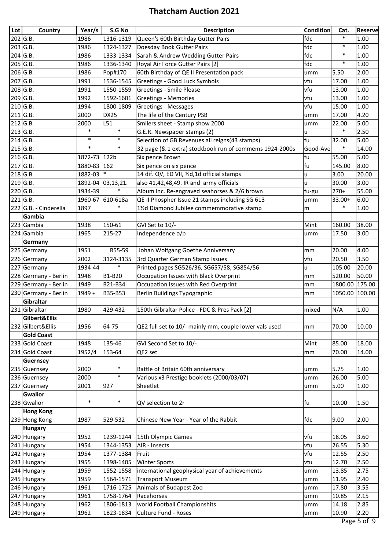| Lot | Country               | Year/s   | S.G No            | <b>Description</b>                                      | <b>Condition</b> | Cat.    | Reserve |
|-----|-----------------------|----------|-------------------|---------------------------------------------------------|------------------|---------|---------|
|     | 202 G.B.              | 1986     | 1316-1319         | Queen's 60th Birthday Gutter Pairs                      | fdc              | $\ast$  | 1.00    |
|     | 203 G.B.              | 1986     | 1324-1327         | Doesday Book Gutter Pairs                               | fdc              | $\ast$  | 1.00    |
|     | 204 G.B.              | 1986     | 1333-1334         | Sarah & Andrew Wedding Gutter Pairs                     | fdc              | $\ast$  | 1.00    |
|     | 205 G.B.              | 1986     | 1336-1340         | Royal Air Force Gutter Pairs [2]                        | fdc              | $\ast$  | 1.00    |
|     | 206 G.B.              | 1986     | Pop#170           | 60th Birthday of QE II Presentation pack                | umm              | 5.50    | 2.00    |
|     | 207 G.B.              | 1991     | 1536-1545         | Greetings - Good Luck Symbols                           | vfu              | 17.00   | 1.00    |
|     | 208 G.B.              | 1991     | 1550-1559         | <b>Greetings - Smile Please</b>                         | vfu              | 13.00   | 1.00    |
|     | 209 G.B.              | 1992     | 1592-1601         | <b>Greetings - Memories</b>                             | vfu              | 13.00   | 1.00    |
|     | 210 G.B.              | 1994     | 1800-1809         | <b>Greetings - Messages</b>                             | vfu              | 15.00   | 1.00    |
|     | 211 G.B.              | 2000     | DX25              | The life of the Century PSB                             | umm              | 17.00   | 4.20    |
|     | $212$ G.B.            | 2000     | L51               | Smilers sheet - Stamp show 2000                         | umm              | 22.00   | 5.00    |
|     | 213 G.B.              | $\ast$   | $\ast$            | G.E.R. Newspaper stamps (2)                             | u                | $\ast$  | 2.50    |
|     | 214 G.B.              | $\ast$   | $\ast$            | Selection of GB Revenues all reigns(43 stamps)          | fu               | 32.00   | 5.00    |
|     | 215 G.B.              | $\ast$   | $\ast$            | 32 page (& 1 extra) stockbook run of commems 1924-2000s | Good-Ave         | $\ast$  | 14.00   |
|     | 216 G.B.              | 1872-73  | 122b              | Six pence Brown                                         | fu               | 55.00   | 5.00    |
|     | $217$ G.B.            | 1880-83  | 162               | Six pence on six pence                                  | fu               | 145.00  | 8.00    |
|     | $218$ G.B.            | 1882-03  | $\ast$            | 14 dif. QV, ED VII, 1/2d, 1d official stamps            | u                | 3.00    | 20.00   |
|     | 219 G.B.              |          | 1892-04 03,13,21. | also 41,42,48,49. IR and army officials                 | u                | 30.00   | 3.00    |
|     | 220 G.B.              | 1934-39  | $\ast$            | Album inc. Re-engraved seahorses & 2/6 brown            | fu-gu            | $270+$  | 55.00   |
|     | 221 G.B.              | 1960-67  | 610-618a          | QE II Phospher Issue 21 stamps including SG 613         | umm              | 33.00+  | 6.00    |
|     | 222 G.B. - Cinderella | 1897     | $\ast$            | 11/2d Diamond Jubilee commemmorative stamp              | m                | $\ast$  | 1.00    |
|     | Gambia                |          |                   |                                                         |                  |         |         |
|     | 223 Gambia            | 1938     | 150-61            | GVI Set to 10/-                                         | Mint             | 160.00  | 38.00   |
|     | 224 Gambia            | 1965     | 215-27            | Independence o/p                                        | umm              | 17.50   | 3.00    |
|     | Germany               |          |                   |                                                         |                  |         |         |
|     | 225 Germany           | 1951     | R55-59            | Johan Wolfgang Goethe Anniversary                       | mm               | 20.00   | 4.00    |
|     | 226 Germany           | 2002     | 3124-3135         | 3rd Quarter German Stamp Issues                         | vfu              | 20.50   | 3.50    |
|     | 227 Germany           | 1934-44  | $\ast$            | Printed pages SG526/36, SG657/58, SG854/56              | u                | 105.00  | 20.00   |
|     | 228 Germany - Berlin  | 1948     | B1-B20            | Occupation Issues with Black Overprint                  | mm               | 520.00  | 50.00   |
|     | 229 Germany - Berlin  | 1949     | B21-B34           | Occupation Issues with Red Overprint                    | mm               | 1800.00 | 175.00  |
|     | 230 Germany - Berlin  | $1949 +$ | B35-B53           | Berlin Buildings Typographic                            | mm               | 1050.00 | 100.00  |
|     | Gibraltar             |          |                   |                                                         |                  |         |         |
|     | 231 Gibraltar         | 1980     | 429-432           | 150th Gibraltar Police - FDC & Pres Pack [2]            | mixed            | N/A     | 1.00    |
|     | Gilbert&Ellis         |          |                   |                                                         |                  |         |         |
|     | 232 Gilbert&Ellis     | 1956     | 64-75             | QE2 full set to 10/- mainly mm, couple lower vals used  | mm               | 70.00   | 10.00   |
|     | <b>Gold Coast</b>     |          |                   |                                                         |                  |         |         |
|     | 233 Gold Coast        | 1948     | 135-46            | GVI Second Set to 10/-                                  | Mint             | 85.00   | 18.00   |
|     | 234 Gold Coast        | 1952/4   | 153-64            | QE2 set                                                 | mm               | 70.00   | 14.00   |
|     | Guernsey              |          |                   |                                                         |                  |         |         |
|     | 235 Guernsey          | 2000     | $\ast$            | Battle of Britain 60th anniversary                      | umm              | 5.75    | 1.00    |
|     | 236 Guernsey          | 2000     | $\ast$            | Various x3 Prestige booklets (2000/03/07)               | umm              | 26.00   | 5.00    |
|     | 237 Guernsey          | 2001     | 927               | Sheetlet                                                | umm              | 5.00    | 1.00    |
|     | <b>Gwalior</b>        |          |                   |                                                         |                  |         |         |
|     | 238 Gwalior           | $\ast$   | $\ast$            | QV selection to 2r                                      | fu               | 10.00   | 1.50    |
|     | <b>Hong Kong</b>      |          |                   |                                                         |                  |         |         |
|     | 239 Hong Kong         | 1987     | 529-532           | Chinese New Year - Year of the Rabbit                   | fdc              | 9.00    | 2.00    |
|     | <b>Hungary</b>        |          |                   |                                                         |                  |         |         |
|     | 240 Hungary           | 1952     | 1239-1244         | 15th Olympic Games                                      | vfu              | 18.05   | 3.60    |
|     | 241 Hungary           | 1954     | 1344-1353         | AIR - Insects                                           | vfu              | 26.55   | 5.30    |
|     | 242 Hungary           | 1954     | 1377-1384         | Fruit                                                   | vfu              | 12.55   | 2.50    |
|     | 243 Hungary           | 1955     | 1398-1405         | <b>Winter Sports</b>                                    | vfu              | 12.70   | 2.50    |
|     | 244 Hungary           | 1959     | 1552-1558         | international geophysical year of achievements          | umm              | 13.85   | 2.75    |
|     | 245 Hungary           | 1959     | 1564-1571         | Transport Museum                                        | umm              | 11.95   | 2.40    |
|     | 246 Hungary           | 1961     | 1716-1725         | Animals of Budapest Zoo                                 | umm              | 17.80   | 3.55    |
|     | 247 Hungary           | 1961     | 1758-1764         | Racehorses                                              | umm              | 10.85   | 2.15    |
|     | 248 Hungary           | 1962     | 1806-1813         | world Football Championshits                            | umm              | 14.18   | 2.85    |
|     | 249 Hungary           | 1962     | 1823-1834         | Culture Fund - Roses                                    | umm              | 10.90   | 2.20    |
|     |                       |          |                   |                                                         |                  |         | $F - F$ |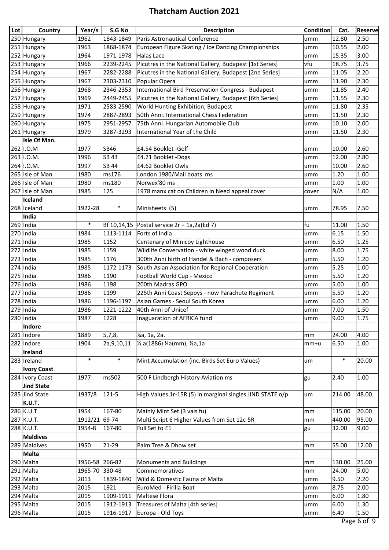| Lot | Country            | Year/s        | S.G No        | <b>Description</b>                                         | <b>Condition</b> | Cat.   | <b>Reserve</b>                   |
|-----|--------------------|---------------|---------------|------------------------------------------------------------|------------------|--------|----------------------------------|
|     | 250 Hungary        | 1962          | 1843-1849     | Paris Astronautical Conference                             | umm              | 12.80  | 2.50                             |
|     | 251 Hungary        | 1963          | 1868-1874     | European Figure Skating / Ice Dancing Championships        | umm              | 10.55  | 2.00                             |
|     | 252 Hungary        | 1964          | 1971-1978     | Halas Lace                                                 | umm              | 15.35  | 3.00                             |
|     | 253 Hungary        | 1966          | 2239-2245     | Picutres in the National Gallery, Budapest [1st Series]    | vfu              | 18.75  | 3.75                             |
|     | 254 Hungary        | 1967          | 2282-2288     | Picutres in the National Gallery, Budapest [2nd Series]    | umm              | 11.05  | 2.20                             |
|     | 255 Hungary        | 1967          | 2303-2310     | Popular Opera                                              | umm              | 11.90  | 2.30                             |
|     | 256 Hungary        | 1968          | 2346-2353     | <b>International Bird Preservation Congress - Budapest</b> | umm              | 11.85  | 2.40                             |
|     | 257 Hungary        | 1969          | 2449-2455     | Picutres in the National Gallery, Budapest [6th Series]    | umm              | 11.55  | 2.30                             |
|     | 258 Hungary        | 1971          | 2583-2590     | World Hunting Exhibition, Budapest                         | umm              | 11.80  | 2.35                             |
|     | 259 Hungary        | 1974          | 2887-2893     | 50th Anni. International Chess Federation                  | umm              | 11.50  | 2.30                             |
|     | 260 Hungary        | 1975          | 2951-2957     | 75th Anni. Hungarian Automobile Club                       | umm              | 10.10  | 2.00                             |
|     | 261 Hungary        | 1979          | 3287-3293     | International Year of the Child                            | umm              | 11.50  | 2.30                             |
|     | Isle Of Man.       |               |               |                                                            |                  |        |                                  |
|     | 262 I.O.M          | 1977          | SB46          | £4.54 Booklet -Golf                                        | umm              | 10.00  | 2.60                             |
|     | 263 I.O.M.         | 1996          | SB 43         | £4.71 Booklet -Dogs                                        | umm              | 12.00  | 2.80                             |
|     | 264 I.O.M.         | 1997          | SB 44         | £4.62 Booklet Owls                                         | umm              | 10.00  | 2.60                             |
|     | 265 Isle of Man    | 1980          | ms176         | London 1980/Mail boats ms                                  | umm              | 1.20   | 1.00                             |
|     | 266 Isle of Man    | 1980          | ms180         | Norwex'80 ms                                               | umm              | 1.00   | 1.00                             |
|     | 267 Isle of Man    | 1985          | 125           | 1978 manx cat on Children in Need appeal cover             | cover            | N/A    | 1.00                             |
|     | Iceland            |               |               |                                                            |                  |        |                                  |
|     | 268 Iceland        | 1922-28       | $\ast$        | Minisheets (5)                                             | umm              | 78.95  | 7.50                             |
|     | India              |               |               |                                                            |                  |        |                                  |
|     | $269$  India       | $\ast$        |               | Bf 10,14,15   Postal service $2r + 1a$ , 2a (Ed 7)         | fu               | 11.00  | 1.50                             |
|     | $270$  India       | 1984          | 1113-1114     | Forts of India                                             | umm              | 6.15   | 1.50                             |
|     | $271$  India       | 1985          | 1152          | Centenary of Minicoy Lighthouse                            | umm              | 6.50   | 1.25                             |
|     | $272$ India        | 1985          | 1159          | Wildlife Convervation - white winged wood duck             | umm              | 8.00   | 1.75                             |
|     | $273$ India        | 1985          | 1176          | 300th Anni birth of Handel & Bach - composers              | umm              | 5.50   | 1.20                             |
|     | $274$  India       | 1985          | 1172-1173     | South Asian Association for Regional Cooperation           | umm              | 5.25   | 1.00                             |
|     | $275$ India        | 1986          | 1190          | Football World Cup - Mexico                                | umm              | 5.50   | 1.20                             |
|     | 276 India          | 1986          | 1198          | 200th Madras GPO                                           | umm              | 5.00   | 1.00                             |
|     | $277$ India        | 1986          | 1199          | 225th Anni Coast Sepoys - now Parachute Regiment           | umm              | 5.50   | 1.20                             |
|     | $278$ India        | 1986          | 1196-1197     | Asian Games - Seoul South Korea                            | umm              | 6.00   | 1.20                             |
|     | $279$ India        | 1986          | 1221-1222     | 40th Anni of Unicef                                        | umm              | 7.00   | 1.50                             |
|     | $280$  India       | 1987          | 1228          | Inaguaration of AFRICA fund                                | umm              | 9.00   | 1.75                             |
|     | Indore             |               |               |                                                            |                  |        |                                  |
|     | 281 Indore         | 1889          | 5,7,8,        | ¼a, 1a, 2a.                                                | mm               | 24.00  | 4.00                             |
|     | 282 Indore         | 1904          | 2a, 9, 10, 11 | 1/ <sub>2</sub> a(1886) ¼a(mm), ½a,1a                      | mm+u             | 6.50   | 1.00                             |
|     | Ireland            |               |               |                                                            |                  |        |                                  |
|     | 283 Ireland        | $\ast$        | $\ast$        | Mint Accumulation (inc. Birds Set Euro Values)             | um               | $\ast$ | 20.00                            |
|     | <b>Ivory Coast</b> |               |               |                                                            |                  |        |                                  |
|     | 284 Ivory Coast    | 1977          | ms502         | 500 F Lindbergh History Aviation ms                        | gu               | 2.40   | 1.00                             |
|     | <b>Jind State</b>  |               |               |                                                            |                  |        |                                  |
|     | 285 Jind State     | 1937/8        | 121-5         | High Values 1r-15R (5) in marginal singles JIND STATE o/p  | um               | 214.00 | 48.00                            |
|     | K.U.T.             |               |               |                                                            |                  |        |                                  |
|     | 286 K.U.T          | 1954          | 167-80        | Mainly Mint Set (3 vals fu)                                | mm               | 115.00 | 20.00                            |
|     | 287 K.U.T.         | 1912/21 69-74 |               | Multi Script 6 Higher Values from Set 12c-5R               | mm               | 440.00 | 95.00                            |
|     | 288 K.U.T.         | 1954-8        | 167-80        | Full Set to £1                                             | gu               | 32.00  | 9.00                             |
|     | <b>Maldives</b>    |               |               |                                                            |                  |        |                                  |
|     | 289 Maldives       | 1950          | 21-29         | Palm Tree & Dhow set                                       | mm               | 55.00  | 12.00                            |
|     | <b>Malta</b>       |               |               |                                                            |                  |        |                                  |
|     | 290 Malta          | 1956-58       | 266-82        | Monuments and Buildings                                    | mm               | 130.00 | 25.00                            |
|     | 291 Malta          | 1965-70       | 330-48        | Commemoratives                                             | mm               | 24.00  | 5.00                             |
|     | 292 Malta          | 2013          | 1839-1840     | Wild & Domestic Fauna of Malta                             | umm              | 9.50   | 2.20                             |
|     | 293 Malta          | 2015          | 1921          | EuroMed - Firilla Boat                                     | umm              | 8.75   | 2.00                             |
|     | 294 Malta          | 2015          | 1909-1911     | Maltese Flora                                              | umm              | 6.00   | 1.80                             |
|     | 295 Malta          | 2015          | 1912-1913     | Treasures of Malta [4th series]                            | umm              | 6.00   | 1.30                             |
|     | 296 Malta          | 2015          | 1916-1917     | Europa - Old Toys                                          | umm              | 6.40   | 1.50<br>$\overline{\phantom{a}}$ |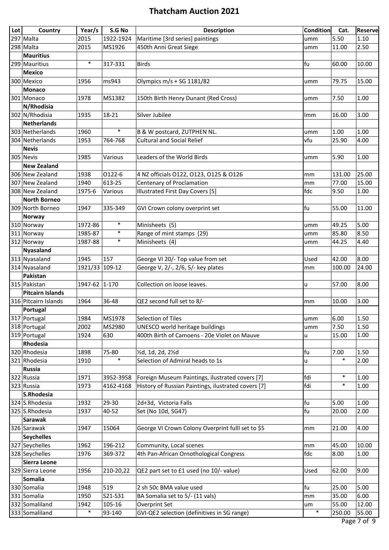| Lot | Country                 | Year/s         | S.G No    | <b>Description</b>                                  | <b>Condition</b> | Cat.   | <b>Reserve</b> |
|-----|-------------------------|----------------|-----------|-----------------------------------------------------|------------------|--------|----------------|
|     | 297 Malta               | 2015           | 1922-1924 | Maritime [3rd series] paintings                     | umm              | 5.50   | 1.10           |
|     | 298 Malta               | 2015           | MS1926    | 450th Anni Great Siege                              | umm              | 11.00  | 2.50           |
|     | <b>Mauritius</b>        |                |           |                                                     |                  |        |                |
|     | 299 Mauritius           | $\ast$         | 317-331   | <b>Birds</b>                                        | fu               | 60.00  | 10.00          |
|     | <b>Mexico</b>           |                |           |                                                     |                  |        |                |
|     | 300 Mexico              | 1956           | ms943     | Olympics m/s + SG 1181/82                           | umm              | 79.75  | 15.00          |
|     | <b>Monaco</b>           |                |           |                                                     |                  |        |                |
|     | 301 Monaco              | 1978           | MS1382    | 150th Birth Henry Dunant (Red Cross)                | umm              | 7.50   | 1.00           |
|     | N/Rhodisia              |                |           |                                                     |                  |        |                |
|     | 302 N/Rhodisia          | 1935           | 18-21     | Silver Jubilee                                      | Imm              | 16.00  | 3.00           |
|     | <b>Netherlands</b>      |                |           |                                                     |                  |        |                |
|     | 303 Netherlands         | 1960           | $\ast$    | B & W postcard, ZUTPHEN NL.                         | umm              | 1.00   | 1.00           |
|     | 304 Netherlands         | 1953           | 764-768   | <b>Cultural and Social Relief</b>                   | vfu              | 25.90  | 4.00           |
|     | <b>Nevis</b>            |                |           |                                                     |                  |        |                |
|     | 305 Nevis               | 1985           | Various   | Leaders of the World Birds                          | umm              | 5.90   | 1.00           |
|     | <b>New Zealand</b>      |                |           |                                                     |                  |        |                |
|     | 306 New Zealand         | 1938           | 0122-6    | 4 NZ officials O122, O123, O125 & O126              | mm               | 131.00 | 25.00          |
|     | 307 New Zealand         | 1940           | 613-25    | Centenary of Proclamation                           | mm               | 77.00  | 15.00          |
|     | 308 New Zealand         | 1975-6         | Various   | Illustrated First Day Covers [5]                    | fdc              | 9.50   | 1.00           |
|     | <b>North Borneo</b>     |                |           |                                                     |                  |        |                |
|     | 309 North Borneo        | 1947           | 335-349   | GVI Crown colony overprint set                      | fu               | 55.00  | 11.00          |
|     | <b>Norway</b>           |                |           |                                                     |                  |        |                |
|     | 310 Norway              | 1972-86        | $\ast$    | Minisheets (5)                                      | umm              | 49.25  | 5.00           |
|     | 311 Norway              | 1985-87        | $\ast$    | Range of mint stamps (29)                           | umm              | 85.80  | 8.50           |
|     | 312 Norway              | 1987-88        | $\ast$    | Minisheets (4)                                      | umm              | 44.25  | 4.40           |
|     | <b>Nyasaland</b>        |                |           |                                                     |                  |        |                |
|     | 313 Nyasaland           | 1945           | 157       | George VI 20/- Top value from set                   | Used             | 42.00  | 8.00           |
|     | 314 Nyasaland           | 1921/33 109-12 |           | George V, 2/-, 2/6, 5/- key plates                  | mm               | 100.00 | 24.00          |
|     | Pakistan                |                |           |                                                     |                  |        |                |
|     | 315 Pakistan            | 1947-62 1-170  |           | Collection on loose leaves.                         | u                | 57.00  | 8.00           |
|     | <b>Pitcairn Islands</b> |                |           |                                                     |                  |        |                |
|     | 316 Pitcairn Islands    | 1964           | 36-48     | QE2 second full set to 8/-                          | mm               | 10.00  | 3.00           |
|     | Portugal                |                |           |                                                     |                  |        |                |
|     | 317 Portugal            | 1984           | MS1978    | Selection of Tiles                                  | umm              | 6.00   | 1.50           |
|     | 318 Portugal            | 2002           | MS2980    | <b>UNESCO world heritage buildings</b>              | umm              | 7.50   | 1.50           |
|     | 319 Portugal            | 1924           | 630       | 400th Birth of Camoens - 20e Violet on Mauve        | u                | 15.00  | 1.00           |
|     | Rhodesia                |                |           |                                                     |                  |        |                |
|     | 320 Rhodesia            | 1898           | 75-80     | 1/2d, 1d, 2d, 21/2d                                 | fu               | 7.00   | 1.50           |
|     | 321 Rhodesia            | 1910           | $\ast$    | Selection of Admiral heads to 1s                    | u                | $\ast$ | 2.00           |
|     | <b>Russia</b>           |                |           |                                                     |                  |        |                |
|     | 322 Russia              | 1971           | 3952-3958 | Foreign Museum Paintings, ilustrated covers [7]     | fdi              | $\ast$ | 1.00           |
|     | 323 Russia              | 1973           | 4162-4168 | History of Russian Paintings, ilustrated covers [7] | fdi              | $\ast$ | 1.00           |
|     | S.Rhodesia              |                |           |                                                     |                  |        |                |
|     | 324 S.Rhodesia          | 1932           | 29-30     | 2d+3d, Victoria Falls                               | fu               | 5.00   | 1.00           |
|     | 325 S.Rhodesia          | 1937           | 40-52     | Set (No 10d, SG47)                                  | fu               | 20.00  | 2.00           |
|     | <b>Sarawak</b>          |                |           |                                                     |                  |        |                |
|     | 326 Sarawak             | 1947           | 15064     | George VI Crown Colony Overprint fulll set to \$5   | mm               | 21.00  | 4.00           |
|     | <b>Seychelles</b>       |                |           |                                                     |                  |        |                |
|     | 327 Seychelles          | 1962           | 196-212   | Community, Local scenes                             | mm               | 45.00  | 10.00          |
|     | 328 Seychelles          | 1976           | 369-372   | 4th Pan-African Ornothological Congress             | fdc              | 8.00   | 1.00           |
|     | Sierra Leone            |                |           |                                                     |                  |        |                |
|     | 329 Sierra Leone        | 1956           | 210-20,22 | QE2 part set to £1 used (no 10/- value)             | Used             | 62.00  | 9.00           |
|     | Somalia                 |                |           |                                                     |                  |        |                |
|     | 330 Somalia             | 1948           | 519       | 2 sh 50c BMA value used                             | fu               | 25.00  | 5.00           |
|     | 331 Somalia             | 1950           | S21-S31   | BA Somalia set to 5/- (11 vals)                     | mm               | 35.00  | 6.00           |
|     | 332 Somaliland          | 1942           | 105-16    | Overprint Set                                       | um               | 55.00  | 12.00          |
|     | 333 Somaliland          | $\ast$         | 93-140    | GVI-QE2 selection (definitives in SG range)         | $\ast$           | 250.00 | 55.00          |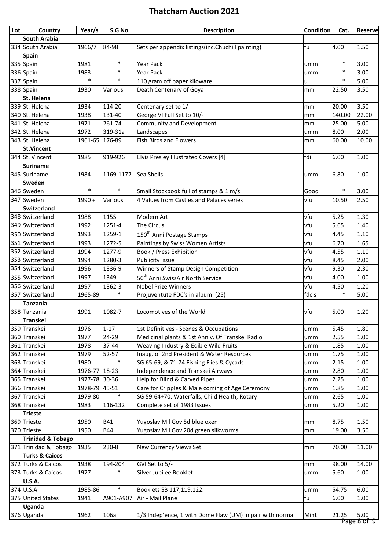| Lot | Country                      | Year/s   | S.G No      | <b>Description</b>                                        | <b>Condition</b> | Cat.   | Reserve              |
|-----|------------------------------|----------|-------------|-----------------------------------------------------------|------------------|--------|----------------------|
|     | South Arabia                 |          |             |                                                           |                  |        |                      |
|     | 334 South Arabia             | 1966/7   | 84-98       | Sets per appendix listings(inc.Chuchill painting)         | fu               | 4.00   | 1.50                 |
|     | Spain                        |          |             |                                                           |                  |        |                      |
|     | 335 Spain                    | 1981     | $\ast$      | <b>Year Pack</b>                                          | umm              | $\ast$ | 3.00                 |
|     | 336 Spain                    | 1983     | $\ast$      | <b>Year Pack</b>                                          | umm              | $\ast$ | 3.00                 |
|     | 337 Spain                    | $\ast$   | $\ast$      | 110 gram off paper kiloware                               | u                | $\ast$ | 5.00                 |
|     | 338 Spain                    | 1930     | Various     | Death Centenary of Goya                                   | mm               | 22.50  | 3.50                 |
|     | St. Helena                   |          |             |                                                           |                  |        |                      |
|     | 339 St. Helena               | 1934     | 114-20      | Centenary set to 1/-                                      | mm               | 20.00  | 3.50                 |
|     | 340 St. Helena               | 1938     | 131-40      | George VI Full Set to 10/-                                | mm               | 140.00 | 22.00                |
|     | 341 St. Helena               | 1971     | 261-74      | Community and Development                                 | mm               | 25.00  | 5.00                 |
|     | 342 St. Helena               | 1972     | 319-31a     | Landscapes                                                | umm              | 8.00   | 2.00                 |
|     | 343 St. Helena               | 1961-65  | 176-89      | Fish, Birds and Flowers                                   | mm               | 60.00  | 10.00                |
|     | St.Vincent                   |          |             |                                                           |                  |        |                      |
|     | 344 St. Vincent              | 1985     | 919-926     | Elvis Presley Illustrated Covers [4]                      | fdi              | 6.00   | 1.00                 |
|     | <b>Suriname</b>              |          |             |                                                           |                  |        |                      |
|     | 345 Suriname                 | 1984     | 1169-1172   | Sea Shells                                                | umm              | 6.80   | 1.00                 |
|     | Sweden                       |          |             |                                                           |                  |        |                      |
|     | 346 Sweden                   | $\ast$   | $\ast$      | Small Stockbook full of stamps & 1 m/s                    | Good             | $\ast$ | 3.00                 |
|     | 347 Sweden                   | $1990 +$ | Various     | 4 Values from Castles and Palaces series                  | vfu              | 10.50  | 2.50                 |
|     | Switzerland                  |          |             |                                                           |                  |        |                      |
|     | 348 Switzerland              | 1988     | 1155        | Modern Art                                                | vfu              | 5.25   | 1.30                 |
|     | 349 Switzerland              | 1992     | 1251-4      | The Circus                                                | vfu              | 5.65   | 1.40                 |
|     | 350 Switzerland              | 1993     | 1259-1      | 150 <sup>th</sup> Anni Postage Stamps                     | vfu              | 4.45   | 1.10                 |
|     | 351 Switzerland              | 1993     | 1272-5      | Paintings by Swiss Women Artists                          | vfu              | 6.70   | 1.65                 |
|     | 352 Switzerland              | 1994     | 1277-9      | <b>Book / Press Exhibition</b>                            | vfu              | 4.55   | 1.10                 |
|     | 353 Switzerland              | 1994     | 1280-3      | Publicity Issue                                           | vfu              | 8.45   | 2.00                 |
|     | 354 Switzerland              | 1996     | 1336-9      | Winners of Stamp Design Competition                       | vfu              | 9.30   | 2.30                 |
|     | 355 Switzerland              | 1997     | 1349        | 50 <sup>th</sup> Anni SwissAir North Service              | vfu              | 4.00   | 1.00                 |
|     | 356 Switzerland              | 1997     | 1362-3      | Nobel Prize Winners                                       | vfu              | 4.50   | 1.20                 |
|     | 357 Switzerland              | 1965-89  | $\ast$      | Projuventute FDC's in album (25)                          | fdc's            | $\ast$ | 5.00                 |
|     | <b>Tanzania</b>              |          |             |                                                           |                  |        |                      |
|     | 358 Tanzania                 | 1991     | 1082-7      | Locomotives of the World                                  | vfu              | 5.00   | 1.20                 |
|     | Transkei                     |          |             |                                                           |                  |        |                      |
|     | 359 Transkei                 | 1976     | $1 - 17$    | 1st Definitives - Scenes & Occupations                    | umm              | 5.45   | 1.80                 |
|     | 360 Transkei                 | 1977     | 24-29       | Medicinal plants & 1st Anniv. Of Transkei Radio           | umm              | 2.55   | 1.00                 |
|     | 361 Transkei                 | 1978     | 37-44       | Weaving Industry & Edible Wild Fruits                     | umm              | 1.85   | 1.00                 |
|     | 362 Transkei                 | 1979     | 52-57       | Inaug. of 2nd President & Water Resources                 | umm              | 1.75   | 1.00                 |
|     | 363 Transkei                 | 1980     | $\ast$      | SG 65-69, & 71-74 Fishing Flies & Cycads                  | umm              | 2.15   | 1.00                 |
|     | 364 Transkei                 | 1976-77  | $18-23$     | Independence and Transkei Airways                         | umm              | 2.80   | 1.00                 |
|     | 365 Transkei                 | 1977-78  | 30-36       | Help for Blind & Carved Pipes                             | umm              | 2.25   | 1.00                 |
|     | 366 Transkei                 | 1978-79  | $ 45 - 51 $ | Care for Cripples & Male coming of Age Ceremony           | umm              | 1.85   | 1.00                 |
|     | 367 Transkei                 | 1979-80  | $\ast$      | SG 59-64+70. Waterfalls, Child Health, Rotary             | umm              | 2.65   | 1.00                 |
|     | 368 Transkei                 | 1983     | 116-132     | Complete set of 1983 Issues                               | umm              | 5.20   | 1.00                 |
|     | <b>Trieste</b>               |          |             |                                                           |                  |        |                      |
|     | 369 Trieste                  | 1950     | <b>B41</b>  | Yugoslav Mil Gov 5d blue oxen                             | mm               | 8.75   | 1.50                 |
|     | 370 Trieste                  | 1950     | <b>B44</b>  | Yugoslav Mil Gov 20d green silkworms                      | mm               | 19.00  | 3.50                 |
|     | <b>Trinidad &amp; Tobago</b> |          |             |                                                           |                  |        |                      |
|     | 371 Trinidad & Tobago        | 1935     | 230-8       | New Currency Views Set                                    | mm               | 70.00  | 11.00                |
|     | <b>Turks &amp; Caicos</b>    |          |             |                                                           |                  |        |                      |
|     | 372 Turks & Caicos           | 1938     | 194-204     | GVI Set to 5/-                                            | mm               | 98.00  | 14.00                |
|     | 373 Turks & Caicos           | 1977     | $\ast$      | Silver Jubilee Booklet                                    | umm              | 5.60   | 1.00                 |
|     | <b>U.S.A.</b>                |          |             |                                                           |                  |        |                      |
|     | $374$ U.S.A.                 | 1985-86  | $\ast$      | Booklets SB 117,119,122.                                  | umm              | 54.75  | 6.00                 |
|     | 375 United States            | 1941     | A901-A907   | Air - Mail Plane                                          | fu               | 6.00   | 1.00                 |
|     | Uganda                       |          |             |                                                           |                  |        |                      |
|     | 376 Uganda                   | 1962     | 106a        | 1/3 Indep'ence, 1 with Dome Flaw (UM) in pair with normal | Mint             | 21.25  | 5.00                 |
|     |                              |          |             |                                                           |                  |        | <del>0 לה פהמב</del> |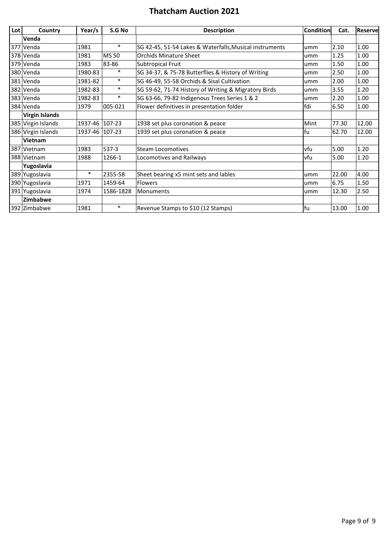| Lot | Country               | Year/s         | S.G No    | <b>Description</b>                                      | <b>Condition</b> | Cat.  | Reservel |
|-----|-----------------------|----------------|-----------|---------------------------------------------------------|------------------|-------|----------|
|     | Venda                 |                |           |                                                         |                  |       |          |
|     | 377 Venda             | 1981           | $\ast$    | SG 42-45, 51-54 Lakes & Waterfalls, Musical instruments | umm              | 2.10  | 1.00     |
|     | 378 Venda             | 1981           | MS 50     | <b>Orchids Minature Sheet</b>                           | umm              | 1.25  | 1.00     |
|     | 379 Venda             | 1983           | 83-86     | Subtropical Fruit                                       | umm              | 1.50  | 1.00     |
|     | 380 Venda             | 1980-83        | $\ast$    | SG 34-37, & 75-78 Butterflies & History of Writing      | umm              | 2.50  | 1.00     |
|     | 381 Venda             | 1981-82        | $\ast$    | SG 46-49, 55-58 Orchids & Sisal Cultivation             | umm              | 2.00  | 1.00     |
|     | 382 Venda             | 1982-83        | $\ast$    | SG 59-62, 71-74 History of Writing & Migratory Birds    | umm              | 3.55  | 1.20     |
|     | 383 Venda             | 1982-83        | $\ast$    | SG 63-66, 79-82 Indigenous Trees Series 1 & 2           | umm              | 2.20  | 1.00     |
|     | 384 Venda             | 1979           | 005-021   | Flower definitives in presentation folder               | fdi              | 6.50  | 1.00     |
|     | <b>Virgin Islands</b> |                |           |                                                         |                  |       |          |
|     | 385 Virgin Islands    | 1937-46 107-23 |           | 1938 set plus coronation & peace                        | Mint             | 77.30 | 12.00    |
|     | 386 Virgin Islands    | 1937-46 107-23 |           | 1939 set plus coronation & peace                        | fu               | 62.70 | 12.00    |
|     | Vietnam               |                |           |                                                         |                  |       |          |
| 387 | Vietnam               | 1983           | $537-3$   | <b>Steam Locomotives</b>                                | vfu              | 5.00  | 1.20     |
|     | 388 Vietnam           | 1988           | 1266-1    | Locomotives and Railways                                | vfu              | 5.00  | 1.20     |
|     | Yugoslavia            |                |           |                                                         |                  |       |          |
|     | 389 Yugoslavia        | $\ast$         | 2355-58   | Sheet bearing x5 mint sets and lables                   | umm              | 22.00 | 4.00     |
|     | 390 Yugoslavia        | 1971           | 1459-64   | <b>Flowers</b>                                          | umm              | 6.75  | 1.50     |
|     | 391 Yugoslavia        | 1974           | 1586-1828 | Monuments                                               | umm              | 12.30 | 2.50     |
|     | Zimbabwe              |                |           |                                                         |                  |       |          |
|     | 392 Zimbabwe          | 1981           | $\ast$    | Revenue Stamps to \$10 (12 Stamps)                      | fu               | 13.00 | 1.00     |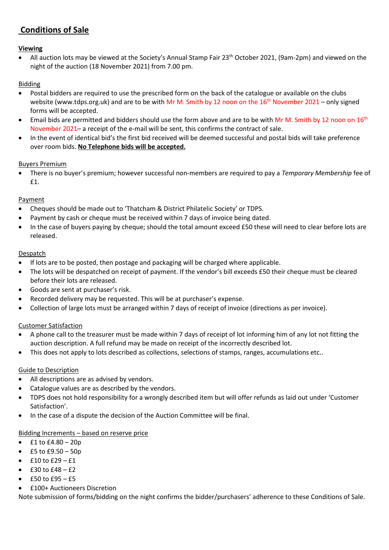### **Conditions of Sale**

#### **Viewing**

All auction lots may be viewed at the Society's Annual Stamp Fair 23<sup>th</sup> October 2021, (9am-2pm) and viewed on the night of the auction (18 November 2021) from 7.00 pm.

#### Bidding

- Postal bidders are required to use the prescribed form on the back of the catalogue or available on the clubs website (www.tdps.org.uk) and are to be with Mr M. Smith by 12 noon on the 16<sup>th</sup> November 2021 – only signed forms will be accepted.
- Email bids are permitted and bidders should use the form above and are to be with Mr M. Smith by 12 noon on  $16^{th}$ November 2021– a receipt of the e-mail will be sent, this confirms the contract of sale.
- In the event of identical bid's the first bid received will be deemed successful and postal bids will take preference over room bids. **No Telephone bids will be accepted.**

#### Buyers Premium

• There is no buyer's premium; however successful non-members are required to pay a *Temporary Membership* fee of £1.

#### Payment

- Cheques should be made out to 'Thatcham & District Philatelic Society' or TDPS.
- Payment by cash or cheque must be received within 7 days of invoice being dated.
- In the case of buyers paying by cheque; should the total amount exceed £50 these will need to clear before lots are released.

#### **Despatch**

- If lots are to be posted, then postage and packaging will be charged where applicable.
- The lots will be despatched on receipt of payment. If the vendor's bill exceeds £50 their cheque must be cleared before their lots are released.
- Goods are sent at purchaser's risk.
- Recorded delivery may be requested. This will be at purchaser's expense.
- Collection of large lots must be arranged within 7 days of receipt of invoice (directions as per invoice).

#### Customer Satisfaction

- A phone call to the treasurer must be made within 7 days of receipt of lot informing him of any lot not fitting the auction description. A full refund may be made on receipt of the incorrectly described lot.
- This does not apply to lots described as collections, selections of stamps, ranges, accumulations etc..

#### Guide to Description

- All descriptions are as advised by vendors.
- Catalogue values are as described by the vendors.
- TDPS does not hold responsibility for a wrongly described item but will offer refunds as laid out under 'Customer Satisfaction'.
- In the case of a dispute the decision of the Auction Committee will be final.

#### Bidding Increments – based on reserve price

- $£1$  to  $£4.80 20p$
- £5 to £9.50 50p
- $\bullet$  £10 to £29 £1
- $f30 \text{ to } f48 f2$
- $f = 50$  to  $f = 95 f = 5$
- £100+ Auctioneers Discretion

Note submission of forms/bidding on the night confirms the bidder/purchasers' adherence to these Conditions of Sale.